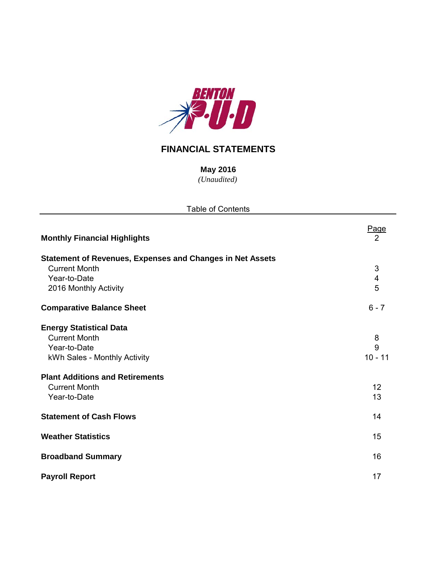

## **FINANCIAL STATEMENTS**

*(Unaudited)* **May 2016**

| <b>Table of Contents</b>                                         |                   |
|------------------------------------------------------------------|-------------------|
| <b>Monthly Financial Highlights</b>                              | Page<br>2         |
| <b>Statement of Revenues, Expenses and Changes in Net Assets</b> |                   |
| <b>Current Month</b>                                             | 3                 |
| Year-to-Date                                                     | 4                 |
| 2016 Monthly Activity                                            | 5                 |
| <b>Comparative Balance Sheet</b>                                 | $6 - 7$           |
| <b>Energy Statistical Data</b>                                   |                   |
| <b>Current Month</b>                                             | 8                 |
| Year-to-Date                                                     | 9                 |
| kWh Sales - Monthly Activity                                     | $10 - 11$         |
| <b>Plant Additions and Retirements</b>                           |                   |
| <b>Current Month</b>                                             | $12 \overline{ }$ |
| Year-to-Date                                                     | 13                |
| <b>Statement of Cash Flows</b>                                   | 14                |
| <b>Weather Statistics</b>                                        | 15                |
| <b>Broadband Summary</b>                                         | 16                |
| <b>Payroll Report</b>                                            | 17                |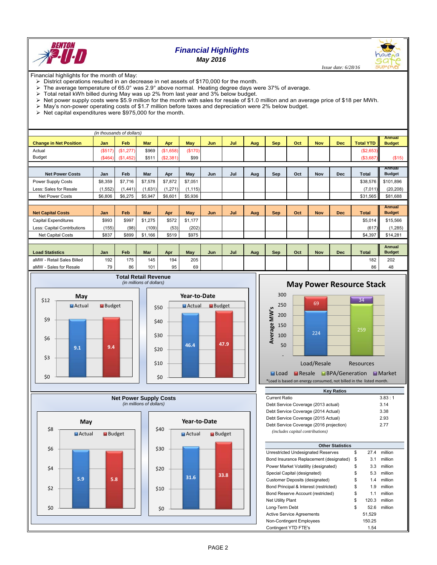

# *Financial Highlights*

*May 2016*

 *Issue date: 6/28/16*

Financial highlights for the month of May:

- District operations resulted in an decrease in net assets of \$170,000 for the month.
- The average temperature of 65.0° was 2.9° above normal. Heating degree days were 37% of average.<br>  $\geq$  Total retail W/h billed during May was up 2% from last year and 3% below budget.
- Total retail kWh billed during May was up 2% from last year and 3% below budget.
- $\triangleright$  Net power supply costs were \$5.9 million for the month with sales for resale of \$1.0 million and an average price of \$18 per MWh.
- May's non-power operating costs of \$1.7 million before taxes and depreciation were 2% below budget.
- $\triangleright$  Net capital expenditures were \$975,000 for the month.

|                               |         | (in thousands of dollars) |            |           |            |     |     |     |            |     |            |            |                  |                                |
|-------------------------------|---------|---------------------------|------------|-----------|------------|-----|-----|-----|------------|-----|------------|------------|------------------|--------------------------------|
| <b>Change in Net Position</b> | Jan     | Feb                       | <b>Mar</b> | Apr       | <b>May</b> | Jun | Jul | Aug | <b>Sep</b> | Oct | <b>Nov</b> | <b>Dec</b> | <b>Total YTD</b> | <b>Annual</b><br><b>Budget</b> |
| Actual                        | (S517)  | (\$1,277)                 | \$969      | (\$1,658) | (\$170)    |     |     |     |            |     |            |            | (\$2,653)        |                                |
| <b>Budget</b>                 | (S464)  | (\$1,452)                 | \$511      | (\$2,381) | \$99       |     |     |     |            |     |            |            | (\$3,687)        | (\$15)                         |
|                               |         |                           |            |           |            |     |     |     |            |     |            |            |                  |                                |
| <b>Net Power Costs</b>        | Jan     | Feb                       | Mar        | Apr       | May        | Jun | Jul | Aug | Sep        | Oct | Nov        | <b>Dec</b> | <b>Total</b>     | Annual<br><b>Budget</b>        |
| Power Supply Costs            | \$8,359 | \$7,716                   | \$7,578    | \$7,872   | \$7,051    |     |     |     |            |     |            |            | \$38,576         | \$101,896                      |
| Less: Sales for Resale        | (1,552) | (1,441)                   | (1,631)    | (1, 271)  | (1, 115)   |     |     |     |            |     |            |            | (7,011)          | (20, 208)                      |
| <b>Net Power Costs</b>        | \$6,806 | \$6,275                   | \$5,947    | \$6,601   | \$5,936    |     |     |     |            |     |            |            | \$31,565         | \$81,688                       |
|                               |         |                           |            |           |            |     |     |     |            |     |            |            |                  |                                |
| <b>Net Capital Costs</b>      | Jan     | Feb                       | <b>Mar</b> | Apr       | May        | Jun | Jul | Aug | <b>Sep</b> | Oct | <b>Nov</b> | <b>Dec</b> | <b>Total</b>     | <b>Annual</b><br><b>Budget</b> |
| Capital Expenditures          | \$993   | \$997                     | \$1,275    | \$572     | \$1,177    |     |     |     |            |     |            |            | \$5.014          | \$15,566                       |
| Less: Capital Contributions   | (155)   | (98)                      | (109)      | (53)      | (202)      |     |     |     |            |     |            |            | (617)            | (1, 285)                       |
| Net Capital Costs             | \$837   | \$899                     | \$1,166    | \$519     | \$975      |     |     |     |            |     |            |            | \$4,397          | \$14,281                       |
|                               |         |                           |            |           |            |     |     |     |            |     |            |            |                  |                                |
| <b>Load Statistics</b>        | Jan     | Feb                       | Mar        | Apr       | May        | Jun | Jul | Aug | <b>Sep</b> | Oct | <b>Nov</b> | <b>Dec</b> | <b>Total</b>     | Annual<br><b>Budget</b>        |
| aMW - Retail Sales Billed     | 192     | 175                       | 145        | 194       | 205        |     |     |     |            |     |            |            | 182              | 202                            |
| aMW - Sales for Resale        | 79      | 86                        | 101        | 95        | 69         |     |     |     |            |     |            |            | 86               | 48                             |













**Load PResale BPA/Generation Market** \*Load is based on energy consumed, not billed in the listed month.

| <b>Key Ratios</b>                       |    |      |          |  |  |  |  |  |  |  |
|-----------------------------------------|----|------|----------|--|--|--|--|--|--|--|
| Current Ratio                           |    |      | 3.83 : 1 |  |  |  |  |  |  |  |
| Debt Service Coverage (2013 actual)     |    |      | 3.14     |  |  |  |  |  |  |  |
| Debt Service Coverage (2014 Actual)     |    |      | 3.38     |  |  |  |  |  |  |  |
| Debt Service Coverage (2015 Actual)     |    |      | 2.93     |  |  |  |  |  |  |  |
| Debt Service Coverage (2016 projection) |    |      | 2.77     |  |  |  |  |  |  |  |
| <i>(includes capital contributions)</i> |    |      |          |  |  |  |  |  |  |  |
|                                         |    |      |          |  |  |  |  |  |  |  |
| <b>Other Statistics</b>                 |    |      |          |  |  |  |  |  |  |  |
| Unrestricted Undesignated Reserves      | \$ | 27.4 | million  |  |  |  |  |  |  |  |
| Bond Insurance Replacement (designated) | \$ | 3.1  | million  |  |  |  |  |  |  |  |
| Power Market Volatility (designated)    | \$ | 3.3  | million  |  |  |  |  |  |  |  |
| Special Capital (designated)            | \$ | 5.3  | million  |  |  |  |  |  |  |  |

| Power Market Volatility (designated)   | \$<br>3.3   | million |  |
|----------------------------------------|-------------|---------|--|
| Special Capital (designated)           | \$<br>5.3   | million |  |
| Customer Deposits (designated)         | \$<br>1.4   | million |  |
| Bond Principal & Interest (restricted) | \$<br>1.9   | million |  |
| Bond Reserve Account (restricted)      | \$<br>1.1   | million |  |
| <b>Net Utility Plant</b>               | \$<br>120.3 | million |  |
| Long-Term Debt                         | \$<br>52.6  | million |  |
| <b>Active Service Agreements</b>       | 51.529      |         |  |
| Non-Contingent Employees               | 150.25      |         |  |
| Contingent YTD FTE's                   | 1.54        |         |  |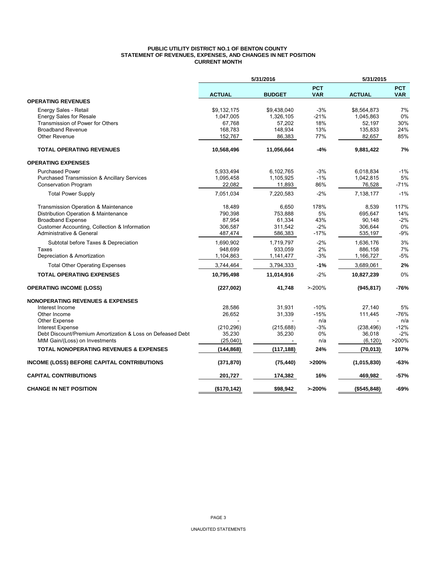#### **PUBLIC UTILITY DISTRICT NO.1 OF BENTON COUNTY STATEMENT OF REVENUES, EXPENSES, AND CHANGES IN NET POSITION CURRENT MONTH**

|                                                            |               | 5/31/2016<br>5/31/2015 |                          |               |                          |
|------------------------------------------------------------|---------------|------------------------|--------------------------|---------------|--------------------------|
|                                                            | <b>ACTUAL</b> | <b>BUDGET</b>          | <b>PCT</b><br><b>VAR</b> | <b>ACTUAL</b> | <b>PCT</b><br><b>VAR</b> |
| <b>OPERATING REVENUES</b>                                  |               |                        |                          |               |                          |
| Energy Sales - Retail                                      | \$9,132,175   | \$9,438,040            | $-3%$                    | \$8,564,873   | 7%                       |
| <b>Energy Sales for Resale</b>                             | 1,047,005     | 1,326,105              | $-21%$                   | 1,045,863     | 0%                       |
| Transmission of Power for Others                           | 67,768        | 57,202                 | 18%                      | 52,197        | 30%                      |
| <b>Broadband Revenue</b>                                   | 168,783       | 148,934                | 13%                      | 135,833       | 24%                      |
| <b>Other Revenue</b>                                       | 152,767       | 86,383                 | 77%                      | 82,657        | 85%                      |
| <b>TOTAL OPERATING REVENUES</b>                            | 10,568,496    | 11,056,664             | $-4%$                    | 9,881,422     | 7%                       |
| <b>OPERATING EXPENSES</b>                                  |               |                        |                          |               |                          |
| <b>Purchased Power</b>                                     | 5,933,494     | 6,102,765              | $-3%$                    | 6,018,834     | $-1%$                    |
| <b>Purchased Transmission &amp; Ancillary Services</b>     | 1,095,458     | 1,105,925              | $-1%$                    | 1,042,815     | 5%                       |
| <b>Conservation Program</b>                                | 22,082        | 11,893                 | 86%                      | 76,528        | $-71%$                   |
| <b>Total Power Supply</b>                                  | 7,051,034     | 7,220,583              | $-2%$                    | 7,138,177     | $-1%$                    |
| Transmission Operation & Maintenance                       | 18,489        | 6,650                  | 178%                     | 8,539         | 117%                     |
| Distribution Operation & Maintenance                       | 790,398       | 753,888                | 5%                       | 695,647       | 14%                      |
| <b>Broadband Expense</b>                                   | 87,954        | 61,334                 | 43%                      | 90,148        | $-2%$                    |
| Customer Accounting, Collection & Information              | 306,587       | 311,542                | $-2%$                    | 306,644       | 0%                       |
| Administrative & General                                   | 487,474       | 586,383                | $-17%$                   | 535,197       | $-9%$                    |
| Subtotal before Taxes & Depreciation                       | 1,690,902     | 1,719,797              | $-2%$                    | 1,636,176     | 3%                       |
| Taxes                                                      | 948,699       | 933,059                | 2%                       | 886,158       | 7%                       |
| Depreciation & Amortization                                | 1,104,863     | 1,141,477              | $-3%$                    | 1,166,727     | $-5%$                    |
| <b>Total Other Operating Expenses</b>                      | 3,744,464     | 3,794,333              | $-1%$                    | 3,689,061     | 2%                       |
| <b>TOTAL OPERATING EXPENSES</b>                            | 10,795,498    | 11,014,916             | $-2%$                    | 10,827,239    | 0%                       |
| <b>OPERATING INCOME (LOSS)</b>                             | (227,002)     | 41,748                 | $> -200%$                | (945, 817)    | -76%                     |
| <b>NONOPERATING REVENUES &amp; EXPENSES</b>                |               |                        |                          |               |                          |
| Interest Income                                            | 28,586        | 31,931                 | $-10%$                   | 27,140        | 5%                       |
| Other Income                                               | 26,652        | 31,339                 | $-15%$                   | 111,445       | $-76%$                   |
| <b>Other Expense</b>                                       |               |                        | n/a                      |               | n/a                      |
| <b>Interest Expense</b>                                    | (210, 296)    | (215, 688)             | $-3%$                    | (238, 496)    | $-12%$                   |
| Debt Discount/Premium Amortization & Loss on Defeased Debt | 35,230        | 35,230                 | 0%                       | 36,018        | $-2%$                    |
| MtM Gain/(Loss) on Investments                             | (25,040)      |                        | n/a                      | (6, 120)      | >200%                    |
| <b>TOTAL NONOPERATING REVENUES &amp; EXPENSES</b>          | (144, 868)    | (117, 188)             | 24%                      | (70, 013)     | 107%                     |
| <b>INCOME (LOSS) BEFORE CAPITAL CONTRIBUTIONS</b>          | (371, 870)    | (75, 440)              | >200%                    | (1,015,830)   | $-63%$                   |
| <b>CAPITAL CONTRIBUTIONS</b>                               | 201,727       | 174,382                | 16%                      | 469,982       | -57%                     |
| <b>CHANGE IN NET POSITION</b>                              | (\$170,142)   | \$98,942               | >200%                    | (\$545,848)   | -69%                     |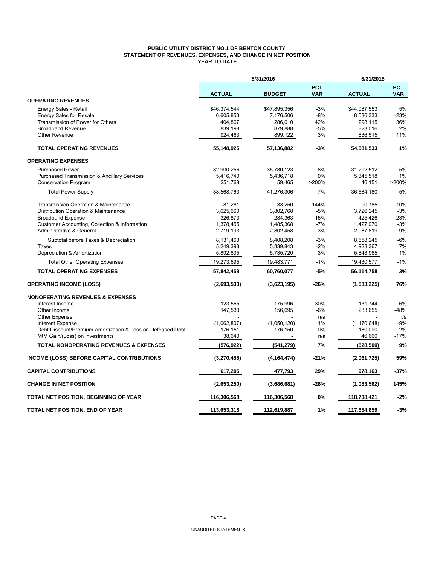### **PUBLIC UTILITY DISTRICT NO.1 OF BENTON COUNTY STATEMENT OF REVENUES, EXPENSES, AND CHANGE IN NET POSITION YEAR TO DATE**

|                                                            | 5/31/2016     |               |                          | 5/31/2015     |                          |  |
|------------------------------------------------------------|---------------|---------------|--------------------------|---------------|--------------------------|--|
|                                                            | <b>ACTUAL</b> | <b>BUDGET</b> | <b>PCT</b><br><b>VAR</b> | <b>ACTUAL</b> | <b>PCT</b><br><b>VAR</b> |  |
| <b>OPERATING REVENUES</b>                                  |               |               |                          |               |                          |  |
| Energy Sales - Retail                                      | \$46,374,544  | \$47,895,356  | -3%                      | \$44,087,553  | 5%                       |  |
| <b>Energy Sales for Resale</b>                             | 6,605,853     | 7,176,506     | $-8%$                    | 8,536,333     | $-23%$                   |  |
| Transmission of Power for Others                           | 404,867       | 286,010       | 42%                      | 298,115       | 36%                      |  |
| <b>Broadband Revenue</b>                                   | 839,198       | 879,888       | $-5%$                    | 823,016       | 2%                       |  |
| Other Revenue                                              | 924,463       | 899,122       | 3%                       | 836,515       | 11%                      |  |
| <b>TOTAL OPERATING REVENUES</b>                            | 55,148,925    | 57,136,882    | $-3%$                    | 54,581,533    | 1%                       |  |
| <b>OPERATING EXPENSES</b>                                  |               |               |                          |               |                          |  |
| <b>Purchased Power</b>                                     | 32,900,256    | 35,780,123    | $-8%$                    | 31,292,512    | 5%                       |  |
| Purchased Transmission & Ancillary Services                | 5,416,740     | 5,436,718     | 0%                       | 5,345,518     | 1%                       |  |
| <b>Conservation Program</b>                                | 251,768       | 59,465        | >200%                    | 46,151        | >200%                    |  |
| <b>Total Power Supply</b>                                  | 38,568,763    | 41,276,306    | $-7%$                    | 36,684,180    | 5%                       |  |
| Transmission Operation & Maintenance                       | 81,281        | 33,250        | 144%                     | 90,785        | $-10%$                   |  |
| Distribution Operation & Maintenance                       | 3,625,660     | 3,802,768     | $-5%$                    | 3,726,245     | $-3%$                    |  |
| <b>Broadband Expense</b>                                   | 326,873       | 284,363       | 15%                      | 425,426       | $-23%$                   |  |
| Customer Accounting, Collection & Information              | 1,378,455     | 1,485,368     | $-7%$                    | 1,427,970     | $-3%$                    |  |
| <b>Administrative &amp; General</b>                        | 2,719,193     | 2,802,458     | $-3%$                    | 2,987,819     | $-9%$                    |  |
| Subtotal before Taxes & Depreciation                       | 8,131,463     | 8,408,208     | $-3%$                    | 8,658,245     | $-6%$                    |  |
| Taxes                                                      | 5,249,398     | 5,339,843     | $-2%$                    | 4,928,367     | 7%                       |  |
| Depreciation & Amortization                                | 5,892,835     | 5,735,720     | 3%                       | 5,843,965     | 1%                       |  |
| <b>Total Other Operating Expenses</b>                      | 19,273,695    | 19,483,771    | $-1%$                    | 19,430,577    | $-1%$                    |  |
| <b>TOTAL OPERATING EXPENSES</b>                            | 57,842,458    | 60,760,077    | $-5%$                    | 56,114,758    | 3%                       |  |
| <b>OPERATING INCOME (LOSS)</b>                             | (2,693,533)   | (3,623,195)   | -26%                     | (1,533,225)   | 76%                      |  |
| <b>NONOPERATING REVENUES &amp; EXPENSES</b>                |               |               |                          |               |                          |  |
| Interest Income                                            | 123,565       | 175,996       | $-30%$                   | 131,744       | $-6%$                    |  |
| Other Income                                               | 147,530       | 156,695       | $-6%$                    | 283,655       | -48%                     |  |
| Other Expense                                              |               |               | n/a                      |               | n/a                      |  |
| <b>Interest Expense</b>                                    | (1,062,807)   | (1,050,120)   | 1%                       | (1, 170, 648) | $-9%$                    |  |
| Debt Discount/Premium Amortization & Loss on Defeased Debt | 176,151       | 176,150       | 0%                       | 180,090       | $-2%$                    |  |
| MtM Gain/(Loss) on Investments                             | 38,640        |               | n/a                      | 46,660        | -17%                     |  |
| <b>TOTAL NONOPERATING REVENUES &amp; EXPENSES</b>          | (576, 922)    | (541, 279)    | 7%                       | (528, 500)    | 9%                       |  |
| INCOME (LOSS) BEFORE CAPITAL CONTRIBUTIONS                 | (3,270,455)   | (4, 164, 474) | -21%                     | (2,061,725)   | 59%                      |  |
| <b>CAPITAL CONTRIBUTIONS</b>                               | 617,205       | 477,793       | 29%                      | 978,163       | $-37%$                   |  |
| <b>CHANGE IN NET POSITION</b>                              | (2,653,250)   | (3,686,681)   | $-28%$                   | (1,083,562)   | 145%                     |  |
| TOTAL NET POSITION, BEGINNING OF YEAR                      | 116,306,568   | 116,306,568   | 0%                       | 118,738,421   | $-2%$                    |  |
| TOTAL NET POSITION, END OF YEAR                            | 113,653,318   | 112,619,887   | 1%                       | 117,654,859   | $-3%$                    |  |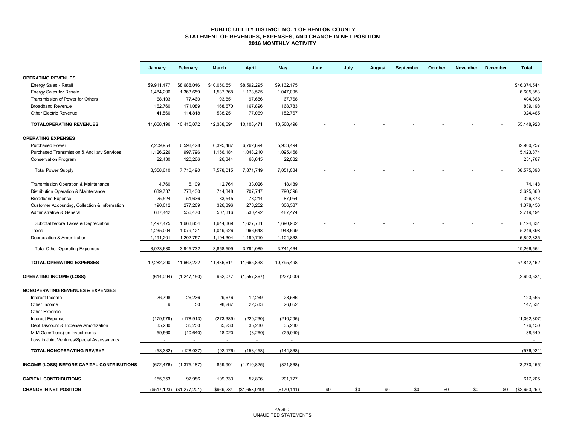### **PUBLIC UTILITY DISTRICT NO. 1 OF BENTON COUNTY STATEMENT OF REVENUES, EXPENSES, AND CHANGE IN NET POSITION 2016 MONTHLY ACTIVITY**

|                                                   | January     | February                  | March        | April          | May                      | June | July | <b>August</b> | September | October | <b>November</b> | December | <b>Total</b>  |
|---------------------------------------------------|-------------|---------------------------|--------------|----------------|--------------------------|------|------|---------------|-----------|---------|-----------------|----------|---------------|
| <b>OPERATING REVENUES</b>                         |             |                           |              |                |                          |      |      |               |           |         |                 |          |               |
| Energy Sales - Retail                             | \$9,911,477 | \$8,688,046               | \$10,050,551 | \$8,592,295    | \$9,132,175              |      |      |               |           |         |                 |          | \$46,374,544  |
| <b>Energy Sales for Resale</b>                    | 1,484,296   | 1,363,659                 | 1,537,368    | 1,173,525      | 1,047,005                |      |      |               |           |         |                 |          | 6,605,853     |
| Transmission of Power for Others                  | 68,103      | 77,460                    | 93,851       | 97,686         | 67,768                   |      |      |               |           |         |                 |          | 404,868       |
| <b>Broadband Revenue</b>                          | 162,760     | 171,089                   | 168,670      | 167,896        | 168,783                  |      |      |               |           |         |                 |          | 839,198       |
| <b>Other Electric Revenue</b>                     | 41,560      | 114,818                   | 538,251      | 77,069         | 152,767                  |      |      |               |           |         |                 |          | 924,465       |
| <b>TOTALOPERATING REVENUES</b>                    | 11,668,196  | 10,415,072                | 12,388,691   | 10,108,471     | 10,568,498               |      |      |               |           |         |                 |          | 55, 148, 928  |
| <b>OPERATING EXPENSES</b>                         |             |                           |              |                |                          |      |      |               |           |         |                 |          |               |
| <b>Purchased Power</b>                            | 7,209,954   | 6,598,428                 | 6,395,487    | 6,762,894      | 5,933,494                |      |      |               |           |         |                 |          | 32,900,257    |
| Purchased Transmission & Ancillary Services       | 1,126,226   | 997,796                   | 1,156,184    | 1,048,210      | 1,095,458                |      |      |               |           |         |                 |          | 5,423,874     |
| <b>Conservation Program</b>                       | 22.430      | 120,266                   | 26,344       | 60,645         | 22,082                   |      |      |               |           |         |                 |          | 251,767       |
| <b>Total Power Supply</b>                         | 8,358,610   | 7,716,490                 | 7,578,015    | 7,871,749      | 7,051,034                |      |      |               |           |         |                 |          | 38,575,898    |
| Transmission Operation & Maintenance              | 4,760       | 5,109                     | 12,764       | 33,026         | 18,489                   |      |      |               |           |         |                 |          | 74,148        |
| Distribution Operation & Maintenance              | 639,737     | 773,430                   | 714,348      | 707,747        | 790,398                  |      |      |               |           |         |                 |          | 3,625,660     |
| <b>Broadband Expense</b>                          | 25,524      | 51,636                    | 83,545       | 78,214         | 87,954                   |      |      |               |           |         |                 |          | 326,873       |
| Customer Accounting, Collection & Information     | 190,012     | 277,209                   | 326,396      | 278,252        | 306,587                  |      |      |               |           |         |                 |          | 1,378,456     |
| Administrative & General                          | 637,442     | 556,470                   | 507,316      | 530,492        | 487,474                  |      |      |               |           |         |                 |          | 2,719,194     |
| Subtotal before Taxes & Depreciation              | 1,497,475   | 1,663,854                 | 1,644,369    | 1,627,731      | 1,690,902                |      |      |               |           |         |                 |          | 8,124,331     |
| Taxes                                             | 1,235,004   | 1,079,121                 | 1,019,926    | 966,648        | 948,699                  |      |      |               |           |         |                 |          | 5,249,398     |
| Depreciation & Amortization                       | 1,191,201   | 1,202,757                 | 1,194,304    | 1,199,710      | 1,104,863                |      |      |               |           |         |                 |          | 5,892,835     |
|                                                   |             |                           |              |                |                          |      |      |               |           |         |                 |          |               |
| <b>Total Other Operating Expenses</b>             | 3,923,680   | 3,945,732                 | 3,858,599    | 3,794,089      | 3,744,464                |      |      |               |           |         |                 |          | 19,266,564    |
| TOTAL OPERATING EXPENSES                          | 12,282,290  | 11,662,222                | 11,436,614   | 11,665,838     | 10,795,498               |      |      |               |           |         |                 |          | 57,842,462    |
| <b>OPERATING INCOME (LOSS)</b>                    | (614, 094)  | (1, 247, 150)             | 952,077      | (1, 557, 367)  | (227,000)                |      |      |               |           |         |                 |          | (2,693,534)   |
| <b>NONOPERATING REVENUES &amp; EXPENSES</b>       |             |                           |              |                |                          |      |      |               |           |         |                 |          |               |
| Interest Income                                   | 26,798      | 26,236                    | 29,676       | 12,269         | 28,586                   |      |      |               |           |         |                 |          | 123,565       |
| Other Income                                      | 9           | 50                        | 98,287       | 22,533         | 26,652                   |      |      |               |           |         |                 |          | 147,531       |
| Other Expense                                     |             |                           | $\sim$       |                | $\overline{\phantom{a}}$ |      |      |               |           |         |                 |          | in 19         |
| <b>Interest Expense</b>                           | (179, 979)  | (178, 913)                | (273, 389)   | (220, 230)     | (210, 296)               |      |      |               |           |         |                 |          | (1,062,807)   |
| Debt Discount & Expense Amortization              | 35,230      | 35,230                    | 35,230       | 35,230         | 35,230                   |      |      |               |           |         |                 |          | 176,150       |
| MtM Gain/(Loss) on Investments                    | 59,560      | (10, 640)                 | 18,020       | (3,260)        | (25,040)                 |      |      |               |           |         |                 |          | 38,640        |
| Loss in Joint Ventures/Special Assessments        | $\sim$      | $\sim$                    | $\sim$       | $\blacksquare$ | $\sim$                   |      |      |               |           |         |                 |          | $\sim$        |
| TOTAL NONOPERATING REV/EXP                        | (58, 382)   | (128, 037)                | (92, 176)    | (153, 458)     | (144, 868)               |      |      |               |           |         |                 |          | (576, 921)    |
| <b>INCOME (LOSS) BEFORE CAPITAL CONTRIBUTIONS</b> | (672, 476)  | (1, 375, 187)             | 859,901      | (1,710,825)    | (371, 868)               |      |      |               |           |         |                 |          | (3, 270, 455) |
| <b>CAPITAL CONTRIBUTIONS</b>                      | 155,353     | 97,986                    | 109,333      | 52,806         | 201,727                  |      |      |               |           |         |                 |          | 617,205       |
| <b>CHANGE IN NET POSITION</b>                     |             | (\$517,123) (\$1,277,201) | \$969,234    | (\$1,658,019)  | (\$170, 141)             | \$0  | \$0  | \$0           | \$0       | \$0     | \$0             | \$0      | (\$2,653,250) |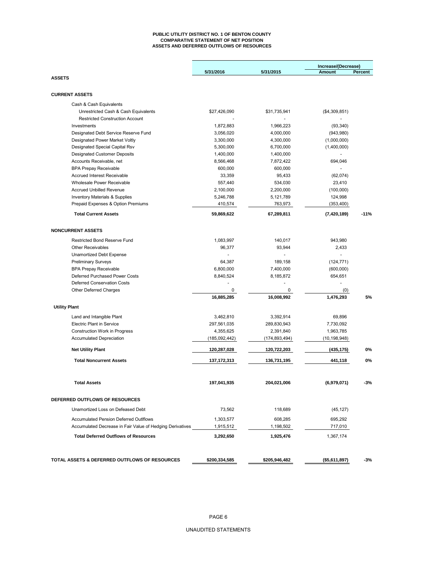#### **PUBLIC UTILITY DISTRICT NO. 1 OF BENTON COUNTY COMPARATIVE STATEMENT OF NET POSITION ASSETS AND DEFERRED OUTFLOWS OF RESOURCES**

|                                                           |               |                 | Increase/(Decrease) |         |  |  |
|-----------------------------------------------------------|---------------|-----------------|---------------------|---------|--|--|
|                                                           | 5/31/2016     | 5/31/2015       | Amount              | Percent |  |  |
| <b>ASSETS</b>                                             |               |                 |                     |         |  |  |
| <b>CURRENT ASSETS</b>                                     |               |                 |                     |         |  |  |
|                                                           |               |                 |                     |         |  |  |
| Cash & Cash Equivalents                                   |               |                 |                     |         |  |  |
| Unrestricted Cash & Cash Equivalents                      | \$27,426,090  | \$31,735,941    | (\$4,309,851)       |         |  |  |
| <b>Restricted Construction Account</b>                    |               |                 |                     |         |  |  |
| Investments                                               | 1,872,883     | 1,966,223       | (93, 340)           |         |  |  |
| Designated Debt Service Reserve Fund                      | 3,056,020     | 4,000,000       | (943,980)           |         |  |  |
| Designated Power Market Voltly                            | 3,300,000     | 4,300,000       | (1,000,000)         |         |  |  |
| Designated Special Capital Rsv                            | 5,300,000     | 6,700,000       | (1,400,000)         |         |  |  |
| <b>Designated Customer Deposits</b>                       | 1,400,000     | 1,400,000       |                     |         |  |  |
| Accounts Receivable, net                                  | 8,566,468     | 7,872,422       | 694,046             |         |  |  |
| <b>BPA Prepay Receivable</b>                              | 600,000       | 600,000         |                     |         |  |  |
| <b>Accrued Interest Receivable</b>                        | 33,359        | 95,433          | (62,074)            |         |  |  |
| Wholesale Power Receivable                                | 557,440       | 534,030         | 23,410              |         |  |  |
| <b>Accrued Unbilled Revenue</b>                           | 2,100,000     | 2,200,000       | (100,000)           |         |  |  |
| <b>Inventory Materials &amp; Supplies</b>                 | 5,246,788     | 5,121,789       | 124,998             |         |  |  |
| Prepaid Expenses & Option Premiums                        | 410,574       | 763,973         | (353, 400)          |         |  |  |
| <b>Total Current Assets</b>                               | 59,869,622    | 67,289,811      | (7, 420, 189)       | $-11%$  |  |  |
| <b>NONCURRENT ASSETS</b>                                  |               |                 |                     |         |  |  |
|                                                           |               |                 |                     |         |  |  |
| <b>Restricted Bond Reserve Fund</b>                       | 1,083,997     | 140,017         | 943,980             |         |  |  |
| <b>Other Receivables</b>                                  | 96,377        | 93,944          | 2,433               |         |  |  |
| Unamortized Debt Expense                                  | $\sim$        |                 |                     |         |  |  |
| <b>Preliminary Surveys</b>                                | 64,387        | 189,158         | (124, 771)          |         |  |  |
| <b>BPA Prepay Receivable</b>                              | 6,800,000     | 7,400,000       | (600,000)           |         |  |  |
| Deferred Purchased Power Costs                            | 8,840,524     | 8,185,872       | 654,651             |         |  |  |
| <b>Deferred Conservation Costs</b>                        |               |                 |                     |         |  |  |
| Other Deferred Charges                                    | $\mathbf 0$   | 0               | (0)                 |         |  |  |
|                                                           | 16,885,285    | 16,008,992      | 1,476,293           | 5%      |  |  |
| <b>Utility Plant</b>                                      |               |                 |                     |         |  |  |
| Land and Intangible Plant                                 | 3,462,810     | 3,392,914       | 69,896              |         |  |  |
| <b>Electric Plant in Service</b>                          | 297,561,035   | 289,830,943     | 7,730,092           |         |  |  |
| Construction Work in Progress                             | 4,355,625     | 2,391,840       | 1,963,785           |         |  |  |
| <b>Accumulated Depreciation</b>                           | (185,092,442) | (174, 893, 494) | (10, 198, 948)      |         |  |  |
| <b>Net Utility Plant</b>                                  | 120,287,028   | 120,722,203     | (435,175)           | 0%      |  |  |
|                                                           |               |                 |                     |         |  |  |
| <b>Total Noncurrent Assets</b>                            | 137, 172, 313 | 136,731,195     | 441,118             | 0%      |  |  |
| <b>Total Assets</b>                                       | 197,041,935   | 204,021,006     | (6,979,071)         | -3%     |  |  |
|                                                           |               |                 |                     |         |  |  |
| DEFERRED OUTFLOWS OF RESOURCES                            |               |                 |                     |         |  |  |
| Unamortized Loss on Defeased Debt                         | 73,562        | 118,689         | (45, 127)           |         |  |  |
| <b>Accumulated Pension Deferred Outlflows</b>             | 1,303,577     | 608,285         | 695.292             |         |  |  |
| Accumulated Decrease in Fair Value of Hedging Derivatives | 1,915,512     | 1,198,502       | 717,010             |         |  |  |
| <b>Total Deferred Outflows of Resources</b>               | 3,292,650     | 1,925,476       | 1,367,174           |         |  |  |
|                                                           |               |                 |                     |         |  |  |
| TOTAL ASSETS & DEFERRED OUTFLOWS OF RESOURCES             | \$200,334,585 | \$205,946,482   | (\$5,611,897)       | -3%     |  |  |

## UNAUDITED STATEMENTS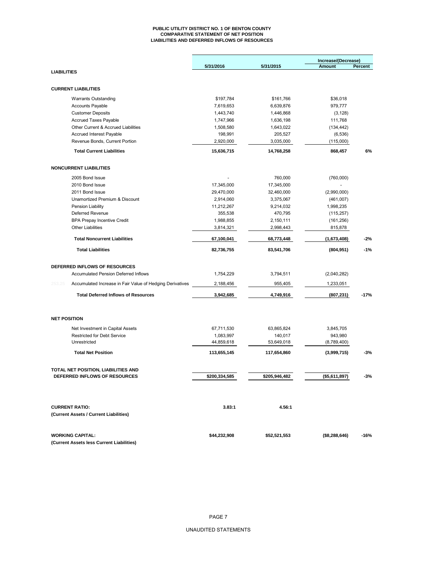#### **PUBLIC UTILITY DISTRICT NO. 1 OF BENTON COUNTY COMPARATIVE STATEMENT OF NET POSITION LIABILITIES AND DEFERRED INFLOWS OF RESOURCES**

|                    |                                                           |               |               | Increase/(Decrease) |         |
|--------------------|-----------------------------------------------------------|---------------|---------------|---------------------|---------|
|                    |                                                           | 5/31/2016     | 5/31/2015     | <b>Amount</b>       | Percent |
| <b>LIABILITIES</b> |                                                           |               |               |                     |         |
|                    | <b>CURRENT LIABILITIES</b>                                |               |               |                     |         |
|                    | <b>Warrants Outstanding</b>                               | \$197,784     | \$161,766     | \$36,018            |         |
|                    | <b>Accounts Payable</b>                                   | 7,619,653     | 6,639,876     | 979,777             |         |
|                    | <b>Customer Deposits</b>                                  | 1,443,740     | 1,446,868     | (3, 128)            |         |
|                    | <b>Accrued Taxes Payable</b>                              | 1,747,966     | 1,636,198     | 111,768             |         |
|                    | Other Current & Accrued Liabilities                       | 1,508,580     | 1,643,022     | (134, 442)          |         |
|                    | <b>Accrued Interest Payable</b>                           | 198,991       | 205,527       | (6, 536)            |         |
|                    | Revenue Bonds, Current Portion                            | 2,920,000     | 3,035,000     | (115,000)           |         |
|                    | <b>Total Current Liabilities</b>                          | 15,636,715    | 14,768,258    | 868,457             | 6%      |
|                    | <b>NONCURRENT LIABILITIES</b>                             |               |               |                     |         |
|                    |                                                           |               |               |                     |         |
|                    | 2005 Bond Issue                                           |               | 760,000       | (760,000)           |         |
|                    | 2010 Bond Issue                                           | 17,345,000    | 17,345,000    |                     |         |
|                    | 2011 Bond Issue                                           | 29,470,000    | 32,460,000    | (2,990,000)         |         |
|                    | Unamortized Premium & Discount                            | 2,914,060     | 3,375,067     | (461,007)           |         |
|                    | Pension Liability                                         | 11,212,267    | 9,214,032     | 1,998,235           |         |
|                    | Deferred Revenue                                          | 355,538       | 470,795       | (115, 257)          |         |
|                    | <b>BPA Prepay Incentive Credit</b>                        | 1,988,855     | 2,150,111     | (161, 256)          |         |
|                    | <b>Other Liabilities</b>                                  | 3,814,321     | 2,998,443     | 815,878             |         |
|                    | <b>Total Noncurrent Liabilities</b>                       | 67,100,041    | 68,773,448    | (1,673,408)         | $-2%$   |
|                    | <b>Total Liabilities</b>                                  | 82,736,755    | 83,541,706    | (804, 951)          | $-1%$   |
|                    | DEFERRED INFLOWS OF RESOURCES                             |               |               |                     |         |
|                    | <b>Accumulated Pension Deferred Inflows</b>               | 1,754,229     | 3,794,511     | (2,040,282)         |         |
| 253.25             | Accumulated Increase in Fair Value of Hedging Derivatives | 2,188,456     | 955,405       | 1,233,051           |         |
|                    | <b>Total Deferred Inflows of Resources</b>                | 3,942,685     | 4,749,916     | (807, 231)          | $-17%$  |
|                    |                                                           |               |               |                     |         |
|                    | <b>NET POSITION</b>                                       |               |               |                     |         |
|                    | Net Investment in Capital Assets                          | 67,711,530    | 63,865,824    | 3,845,705           |         |
|                    | <b>Restricted for Debt Service</b>                        | 1,083,997     | 140,017       | 943,980             |         |
|                    | Unrestricted                                              | 44,859,618    | 53,649,018    | (8,789,400)         |         |
|                    | <b>Total Net Position</b>                                 | 113,655,145   | 117,654,860   | (3,999,715)         | $-3%$   |
|                    | TOTAL NET POSITION, LIABILITIES AND                       |               |               |                     |         |
|                    | DEFERRED INFLOWS OF RESOURCES                             | \$200,334,585 | \$205,946,482 | (\$5,611,897)       | -3%     |
|                    |                                                           |               |               |                     |         |
|                    | <b>CURRENT RATIO:</b>                                     | 3.83:1        | 4.56:1        |                     |         |
|                    | (Current Assets / Current Liabilities)                    |               |               |                     |         |
|                    | <b>WORKING CAPITAL:</b>                                   | \$44,232,908  | \$52,521,553  | $($ \$8,288,646)    | -16%    |
|                    | (Current Assets less Current Liabilities)                 |               |               |                     |         |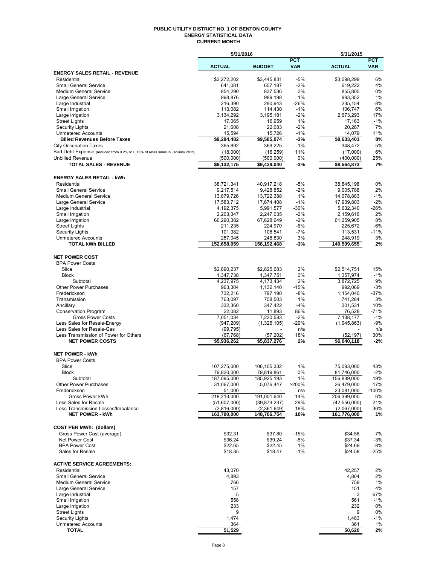#### **PUBLIC UTILITY DISTRICT NO. 1 OF BENTON COUNTY ENERGY STATISTICAL DATA CURRENT MONTH**

|                                                                                                               | 5/31/2016                           |                            |                | 5/31/2015                  |              |
|---------------------------------------------------------------------------------------------------------------|-------------------------------------|----------------------------|----------------|----------------------------|--------------|
|                                                                                                               |                                     |                            | <b>PCT</b>     |                            | <b>PCT</b>   |
|                                                                                                               | <b>ACTUAL</b>                       | <b>BUDGET</b>              | <b>VAR</b>     | <b>ACTUAL</b>              | <b>VAR</b>   |
| <b>ENERGY SALES RETAIL - REVENUE</b>                                                                          |                                     |                            |                |                            | 6%           |
| Residential<br><b>Small General Service</b>                                                                   | \$3,272,202<br>641,081              | \$3,445,831<br>657,187     | $-5%$<br>$-2%$ | \$3,098,299<br>619,222     | 4%           |
| <b>Medium General Service</b>                                                                                 | 854,290                             | 837,536                    | 2%             | 855,805                    | 0%           |
| Large General Service                                                                                         | 998,876                             | 989,198                    | 1%             | 993,352                    | 1%           |
| Large Industrial                                                                                              | 216,390                             | 290,943                    | $-26%$         | 235,154                    | -8%          |
| Small Irrigation                                                                                              | 113,082                             | 114,430                    | $-1%$          | 106,747                    | 6%           |
| Large Irrigation                                                                                              | 3,134,292                           | 3,195,181                  | $-2%$          | 2,673,293                  | 17%          |
| <b>Street Lights</b>                                                                                          | 17,065                              | 16,959                     | 1%             | 17,163                     | $-1%$        |
| <b>Security Lights</b>                                                                                        | 21,608                              | 22,083                     | $-2%$          | 20,287                     | 7%           |
| <b>Unmetered Accounts</b>                                                                                     | 15,594                              | 15,726                     | $-1%$          | 14,079                     | 11%          |
| <b>Billed Revenues Before Taxes</b>                                                                           | \$9,284,482                         | \$9,585,074                | $-3%$          | \$8,633,401                | 8%           |
| <b>City Occupation Taxes</b><br>Bad Debt Expense (reduced from 0.2% to 0.18% of retail sales in January 2015) | 365,692                             | 369,225                    | $-1%$          | 348,472                    | 5%           |
| <b>Unbilled Revenue</b>                                                                                       | (18,000)                            | (16, 259)                  | 11%<br>0%      | (17,000)                   | 6%<br>25%    |
| <b>TOTAL SALES - REVENUE</b>                                                                                  | (500,000)<br>\$9,132,175            | (500,000)<br>\$9,438,040   | $-3%$          | (400,000)<br>\$8,564,873   | 7%           |
|                                                                                                               |                                     |                            |                |                            |              |
| <b>ENERGY SALES RETAIL - kWh</b>                                                                              |                                     |                            |                |                            |              |
| Residential                                                                                                   | 38,721,341                          | 40,917,218                 | $-5%$          | 38,845,198                 | 0%           |
| <b>Small General Service</b>                                                                                  | 9,217,514                           | 9,428,852                  | $-2%$          | 9,005,788                  | 2%           |
| <b>Medium General Service</b>                                                                                 | 13,879,726                          | 13,722,388                 | 1%             | 14,078,883                 | $-1%$        |
| Large General Service                                                                                         | 17,583,712                          | 17,674,408                 | $-1%$          | 17,939,803                 | $-2%$        |
| Large Industrial                                                                                              | 4,192,375                           | 5,991,577                  | $-30%$         | 5,632,340                  | $-26%$       |
| Small Irrigation                                                                                              | 2,203,347                           | 2,247,035                  | $-2%$          | 2,159,616                  | 2%           |
| Large Irrigation                                                                                              | 66,290,382                          | 67,628,649                 | $-2%$          | 61,259,905                 | 8%           |
| <b>Street Lights</b>                                                                                          | 211,235                             | 224,970                    | $-6%$          | 225,672                    | $-6%$        |
| <b>Security Lights</b>                                                                                        | 101,382                             | 108,541                    | $-7%$          | 113,531                    | $-11%$       |
| <b>Unmetered Accounts</b>                                                                                     | 257,045                             | 248,830                    | 3%             | 248,919                    | 3%           |
| <b>TOTAL kWh BILLED</b>                                                                                       | 152,658,059                         | 158,192,468                | -3%            | 149,509,655                | 2%           |
| <b>NET POWER COST</b>                                                                                         |                                     |                            |                |                            |              |
| <b>BPA Power Costs</b>                                                                                        |                                     |                            |                |                            |              |
| Slice                                                                                                         | \$2,890,237                         | \$2,825,683                | 2%             | \$2,514,751                | 15%          |
| <b>Block</b>                                                                                                  | 1,347,738                           | 1,347,751                  | 0%             | 1,357,974                  | $-1%$        |
| Subtotal                                                                                                      | 4,237,975                           | 4,173,434                  | 2%             | 3,872,725                  | 9%           |
| <b>Other Power Purchases</b>                                                                                  | 963,304                             | 1,132,140                  | $-15%$         | 992,069                    | $-3%$        |
| Frederickson                                                                                                  | 732,216                             | 797,190                    | $-8%$          | 1,154,040                  | $-37%$       |
| Transmission                                                                                                  | 763,097                             | 758,503                    | 1%             | 741,284                    | 3%           |
| Ancillary                                                                                                     | 332,360                             | 347,422                    | $-4%$          | 301,531                    | 10%          |
| <b>Conservation Program</b>                                                                                   | 22,082                              | 11,893                     | 86%            | 76,528                     | $-71%$       |
| <b>Gross Power Costs</b>                                                                                      | 7,051,034                           | 7,220,583                  | $-2%$          | 7,138,177                  | $-1%$        |
| Less Sales for Resale-Energy                                                                                  | (947, 209)                          | (1,326,105)                | $-29%$         | (1,045,863)                | $-9%$        |
| Less Sales for Resale-Gas<br>Less Transmission of Power for Others                                            | (99, 795)                           |                            | n/a            |                            | n/a          |
| <b>NET POWER COSTS</b>                                                                                        | (67, 768)<br>$\overline{5,936,262}$ | (57, 202)<br>\$5,837,276   | 18%<br>2%      | (52, 197)<br>\$6,040,118   | 30%<br>$-2%$ |
|                                                                                                               |                                     |                            |                |                            |              |
| <b>NET POWER - kWh</b>                                                                                        |                                     |                            |                |                            |              |
| <b>BPA Power Costs</b>                                                                                        |                                     |                            |                |                            |              |
| Slice                                                                                                         | 107,275,000                         | 106,105,332                | 1%             | 75,093,000                 | 43%          |
| Block                                                                                                         | 79,820,000                          | 79,81 <u>9,861</u>         | 0%             | 81,746,000                 | $-2%$        |
| Subtotal                                                                                                      | 187,095,000                         | 185,925,193                | 1%             | 156,839,000                | 19%          |
| <b>Other Power Purchases</b>                                                                                  | 31,067,000                          | 5,076,447                  | >200%          | 26,479,000                 | 17%          |
| Frederickson                                                                                                  | 51,000                              |                            | n/a            | 23,081,000                 | $-100%$      |
| Gross Power kWh                                                                                               | 218,213,000                         | 191,001,640                | 14%            | 206,399,000                | 6%           |
| Less Sales for Resale                                                                                         | (51,607,000)                        | (39, 873, 237)             | 29%            | (42, 556, 000)             | 21%          |
| Less Transmission Losses/Imbalance<br><b>NET POWER - kWh</b>                                                  | (2,816,000)<br>163,790,000          | (2,361,649)<br>148,766,754 | 19%<br>10%     | (2,067,000)<br>161,776,000 | 36%<br>1%    |
|                                                                                                               |                                     |                            |                |                            |              |
| <b>COST PER MWh: (dollars)</b>                                                                                |                                     |                            |                |                            |              |
| Gross Power Cost (average)                                                                                    | \$32.31                             | \$37.80                    | $-15%$         | \$34.58                    | $-7%$        |
| Net Power Cost                                                                                                | \$36.24                             | \$39.24                    | $-8%$          | \$37.34                    | $-3%$        |
| <b>BPA Power Cost</b>                                                                                         | \$22.65                             | \$22.45                    | 1%             | \$24.69                    | -8%          |
| Sales for Resale                                                                                              | \$18.35                             | \$18.47                    | $-1%$          | \$24.58                    | $-25%$       |
|                                                                                                               |                                     |                            |                |                            |              |
| <b>ACTIVE SERVICE AGREEMENTS:</b>                                                                             |                                     |                            |                |                            |              |
| Residential                                                                                                   | 43,070                              |                            |                | 42,257                     | 2%           |
| <b>Small General Service</b>                                                                                  | 4,893                               |                            |                | 4,804                      | 2%           |
| <b>Medium General Service</b>                                                                                 | 766                                 |                            |                | 759                        | 1%           |
| Large General Service                                                                                         | 157                                 |                            |                | 151                        | 4%           |
| Large Industrial<br>Small Irrigation                                                                          | 5<br>558                            |                            |                | 3<br>561                   | 67%<br>$-1%$ |
| Large Irrigation                                                                                              | 233                                 |                            |                | 232                        | 0%           |
| <b>Street Lights</b>                                                                                          | 9                                   |                            |                | 9                          | 0%           |
| <b>Security Lights</b>                                                                                        | 1,474                               |                            |                | 1,483                      | $-1%$        |
| <b>Unmetered Accounts</b>                                                                                     | 364                                 |                            |                | 361                        | 1%           |
| <b>TOTAL</b>                                                                                                  | 51,529                              |                            |                | 50,620                     | 2%           |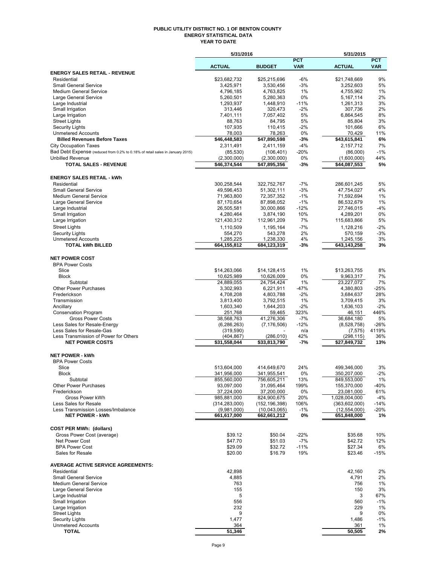#### **PUBLIC UTILITY DISTRICT NO. 1 OF BENTON COUNTY ENERGY STATISTICAL DATA YEAR TO DATE**

|                                                                                                          | 5/31/2016                  |                             |                          | 5/31/2015                     |                          |
|----------------------------------------------------------------------------------------------------------|----------------------------|-----------------------------|--------------------------|-------------------------------|--------------------------|
|                                                                                                          | <b>ACTUAL</b>              | <b>BUDGET</b>               | <b>PCT</b><br><b>VAR</b> | <b>ACTUAL</b>                 | <b>PCT</b><br><b>VAR</b> |
| <b>ENERGY SALES RETAIL - REVENUE</b>                                                                     |                            |                             |                          |                               |                          |
| Residential                                                                                              | \$23,682,732               | \$25,215,696                | $-6%$                    | \$21,748,669                  | 9%                       |
| <b>Small General Service</b>                                                                             | 3,425,971                  | 3,530,456                   | $-3%$                    | 3,252,603                     | 5%                       |
| <b>Medium General Service</b>                                                                            | 4,796,185                  | 4,763,825                   | 1%                       | 4,755,962                     | 1%                       |
| Large General Service                                                                                    | 5,260,501                  | 5,280,363                   | 0%                       | 5,167,114                     | 2%                       |
| Large Industrial<br>Small Irrigation                                                                     | 1,293,937<br>313,446       | 1,448,910<br>320,473        | $-11%$<br>$-2%$          | 1,261,313<br>307,736          | 3%<br>2%                 |
| Large Irrigation                                                                                         | 7,401,111                  | 7,057,402                   | 5%                       | 6,864,545                     | 8%                       |
| <b>Street Lights</b>                                                                                     | 88,763                     | 84,795                      | 5%                       | 85,804                        | 3%                       |
| <b>Security Lights</b>                                                                                   | 107,935                    | 110,415                     | $-2%$                    | 101,666                       | 6%                       |
| <b>Unmetered Accounts</b>                                                                                | 78,003                     | 78,263                      | 0%                       | 70,429                        | 11%                      |
| <b>Billed Revenues Before Taxes</b>                                                                      | \$46,448,583               | \$47,890,598                | -3%                      | \$43,615,841                  | 6%                       |
| <b>City Occupation Taxes</b>                                                                             | 2,311,491                  | 2,411,159                   | $-4%$                    | 2.157.712                     | 7%                       |
| Bad Debt Expense (reduced from 0.2% to 0.18% of retail sales in January 2015)<br><b>Unbilled Revenue</b> | (85, 530)<br>(2,300,000)   | (106, 401)                  | $-20%$<br>0%             | (86,000)<br>(1,600,000)       | $-1%$<br>44%             |
| <b>TOTAL SALES - REVENUE</b>                                                                             | \$46,374,544               | (2,300,000)<br>\$47,895,356 | -3%                      | \$44,087,553                  | 5%                       |
|                                                                                                          |                            |                             |                          |                               |                          |
| <b>ENERGY SALES RETAIL - kWh</b>                                                                         |                            |                             |                          |                               |                          |
| Residential                                                                                              | 300,258,544                | 322,752,767                 | $-7%$                    | 286,601,245                   | 5%                       |
| <b>Small General Service</b>                                                                             | 49,596,453                 | 51,302,111                  | $-3%$                    | 47,754,027                    | 4%                       |
| <b>Medium General Service</b>                                                                            | 71,963,800                 | 72,357,352                  | $-1%$                    | 71,592,694                    | 1%                       |
| Large General Service                                                                                    | 87,170,654                 | 87,898,052                  | $-1%$                    | 86,532,679                    | 1%                       |
| Large Industrial<br>Small Irrigation                                                                     | 26,505,581<br>4,280,464    | 30,000,866<br>3,874,190     | $-12%$<br>10%            | 27,746,015<br>4,289,201       | $-4%$<br>0%              |
| Large Irrigation                                                                                         | 121,430,312                | 112,961,209                 | 7%                       | 115,683,866                   | 5%                       |
| <b>Street Lights</b>                                                                                     | 1,110,509                  | 1,195,164                   | $-7%$                    | 1,128,216                     | $-2%$                    |
| <b>Security Lights</b>                                                                                   | 554,270                    | 543,278                     | 2%                       | 570,159                       | $-3%$                    |
| <b>Unmetered Accounts</b>                                                                                | 1,285,225                  | 1,238,330                   | 4%                       | 1,245,156                     | 3%                       |
| <b>TOTAL kWh BILLED</b>                                                                                  | 664,155,812                | 684,123,319                 | -3%                      | 643,143,258                   | 3%                       |
|                                                                                                          |                            |                             |                          |                               |                          |
| <b>NET POWER COST</b>                                                                                    |                            |                             |                          |                               |                          |
| <b>BPA Power Costs</b><br>Slice                                                                          | \$14,263,066               | \$14,128,415                | 1%                       | \$13,263,755                  | 8%                       |
| <b>Block</b>                                                                                             | 10,625,989                 | 10,626,009                  | 0%                       | 9,963,317                     | 7%                       |
| Subtotal                                                                                                 | 24,889,055                 | 24,754,424                  | 1%                       | 23,227,072                    | 7%                       |
| <b>Other Power Purchases</b>                                                                             | 3,302,993                  | 6,221,911                   | $-47%$                   | 4,380,803                     | $-25%$                   |
| Frederickson                                                                                             | 4,708,208                  | 4,803,788                   | $-2%$                    | 3,684,637                     | 28%                      |
| Transmission                                                                                             | 3,813,400                  | 3,792,515                   | 1%                       | 3,709,415                     | 3%                       |
| Ancillary                                                                                                | 1,603,340                  | 1,644,203                   | $-2%$                    | 1,636,103                     | $-2%$                    |
| <b>Conservation Program</b>                                                                              | 251,768<br>38,568,763      | 59,465<br>41,276,306        | 323%                     | 46,151<br>36,684,180          | 446%                     |
| <b>Gross Power Costs</b><br>Less Sales for Resale-Energy                                                 | (6, 286, 263)              | (7, 176, 506)               | $-7%$<br>$-12%$          | (8,528,758)                   | 5%<br>$-26%$             |
| Less Sales for Resale-Gas                                                                                | (319, 590)                 |                             | n/a                      | (7, 575)                      | 4119%                    |
| Less Transmission of Power for Others                                                                    | (404, 867)                 | (286, 010)                  | 42%                      | (298, 115)                    | 36%                      |
| <b>NET POWER COSTS</b>                                                                                   | \$31,558,044               | $\overline{$33,813,790}$    | -7%                      | \$27,849,732                  | 13%                      |
|                                                                                                          |                            |                             |                          |                               |                          |
| <b>NET POWER - kWh</b>                                                                                   |                            |                             |                          |                               |                          |
| <b>BPA Power Costs</b><br>Slice                                                                          | 513,604,000                | 414,649,670                 | 24%                      | 499,346,000                   | 3%                       |
| Block                                                                                                    | 341,956,000                | 341,955,541                 | 0%                       | 350,207,000                   | -2%                      |
| Subtotal                                                                                                 | 855,560,000                | 756,605,211                 | 13%                      | 849,553,000                   | 1%                       |
| Other Power Purchases                                                                                    | 93,097,000                 | 31,095,464                  | 199%                     | 155,370,000                   | -40%                     |
| Frederickson                                                                                             | 37,224,000                 | 37,200,000                  | 0%                       | 23,081,000                    | 61%                      |
| Gross Power kWh                                                                                          | 985,881,000                | 824,900,675                 | 20%                      | 1,028,004,000                 | $-4%$                    |
| Less Sales for Resale                                                                                    | (314, 283, 000)            | (152, 196, 398)             | 106%                     | (363,602,000)                 | -14%                     |
| Less Transmission Losses/Imbalance<br><b>NET POWER - kWh</b>                                             | (9,981,000)<br>661,617,000 | (10,043,065)<br>662,661,212 | $-1%$<br>0%              | (12, 554, 000)<br>651,848,000 | $-20%$<br>1%             |
|                                                                                                          |                            |                             |                          |                               |                          |
| <b>COST PER MWh: (dollars)</b>                                                                           |                            |                             |                          |                               |                          |
| Gross Power Cost (average)                                                                               | \$39.12                    | \$50.04                     | $-22%$                   | \$35.68                       | 10%                      |
| Net Power Cost                                                                                           | \$47.70                    | \$51.03                     | $-7%$                    | \$42.72                       | 12%                      |
| <b>BPA Power Cost</b>                                                                                    | \$29.09                    | \$32.72                     | $-11%$                   | \$27.34                       | 6%                       |
| Sales for Resale                                                                                         | \$20.00                    | \$16.79                     | 19%                      | \$23.46                       | $-15%$                   |
| <b>AVERAGE ACTIVE SERVICE AGREEMENTS:</b>                                                                |                            |                             |                          |                               |                          |
| Residential                                                                                              | 42,898                     |                             |                          | 42,160                        | 2%                       |
| <b>Small General Service</b>                                                                             | 4,885                      |                             |                          | 4,791                         | 2%                       |
| <b>Medium General Service</b>                                                                            | 763                        |                             |                          | 756                           | 1%                       |
| Large General Service                                                                                    | 155                        |                             |                          | 150                           | 3%                       |
| Large Industrial                                                                                         | 5                          |                             |                          | 3                             | 67%                      |
| Small Irrigation<br>Large Irrigation                                                                     | 556<br>232                 |                             |                          | 560<br>229                    | $-1%$<br>1%              |
| <b>Street Lights</b>                                                                                     | 9                          |                             |                          | 9                             | 0%                       |
| <b>Security Lights</b>                                                                                   | 1,477                      |                             |                          | 1,486                         | $-1%$                    |
| <b>Unmetered Accounts</b>                                                                                | 364                        |                             |                          | 361                           | 1%                       |
| <b>TOTAL</b>                                                                                             | 51,346                     |                             |                          | 50,505                        | 2%                       |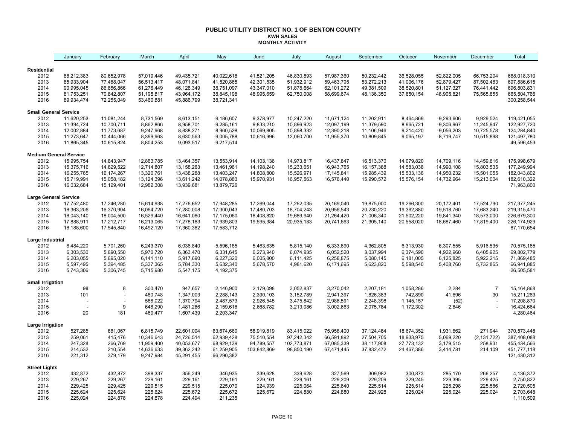#### **PUBLIC UTILITY DISTRICT NO. 1 OF BENTON COUNTY KWH SALES MONTHLY ACTIVITY**

|                              | January                       | February                 | March                  | April                  | May                    | June        | July        | August     | September    | October    | November   | December       | Total                    |
|------------------------------|-------------------------------|--------------------------|------------------------|------------------------|------------------------|-------------|-------------|------------|--------------|------------|------------|----------------|--------------------------|
| Residential                  |                               |                          |                        |                        |                        |             |             |            |              |            |            |                |                          |
| 2012                         | 88,212,383                    | 80,652,978               | 57,019,446             | 49,435,721             | 40,022,618             | 41,521,205  | 46,830,893  | 57,987,360 | 50,232,442   | 36,528,055 | 52,822,005 | 66,753,204     | 668,018,310              |
| 2013                         | 85,933,904                    | 77,488,047               | 56,513,417             | 48,071,841             | 41,520,865             | 42,301,535  | 51,932,912  | 59,463,795 | 53,272,213   | 41,006,176 | 52,879,427 | 87,502,483     | 697,886,615              |
| 2014                         | 90,995,045                    | 86,856,866               | 61,276,449             | 46,126,349             | 38,751,097             | 43,347,010  | 51,878,664  | 62,101,272 | 49,381,509   | 38,520,801 | 51,127,327 | 76,441,442     | 696,803,831              |
| 2015                         | 81,753,251                    | 70,842,807               | 51,195,817             | 43,964,172             | 38,845,198             | 48,995,659  | 62,750,008  | 58,699,674 | 48,136,350   | 37,850,154 | 46,905,821 | 75,565,855     | 665,504,766              |
| 2016                         | 89,934,474                    | 72,255,049               | 53,460,881             | 45,886,799             | 38,721,341             |             |             |            |              |            |            |                | 300,258,544              |
| <b>Small General Service</b> |                               |                          |                        |                        |                        |             |             |            |              |            |            |                |                          |
| 2012                         | 11,620,253                    | 11,081,244               | 8,731,569              | 8,613,151              | 9,186,607              | 9,378,977   | 10,247,220  | 11,671,124 | 11,202,911   | 8,464,869  | 9,293,606  | 9,929,524      | 119,421,055              |
| 2013                         | 11,394,724                    | 10,700,711               | 8,862,866              | 8,958,701              | 9,285,161              | 9,833,210   | 10,896,923  | 12,097,199 | 11,379,590   | 8,965,721  | 9,306,967  | 11,245,947     | 122,927,720              |
| 2014                         | 12,002,884                    | 11,773,687               | 9,247,968              | 8,838,271              | 8,960,528              | 10,069,805  | 10,898,332  | 12,390,218 | 11,106,946   | 9,214,420  | 9,056,203  | 10,725,578     | 124,284,840              |
| 2015                         | 11,273,647                    | 10,444,066               | 8,399,963              | 8,630,563              | 9,005,788              | 10,616,996  | 12,060,700  | 11,955,370 | 10,809,845   | 9,065,197  | 8,719,747  | 10,515,898     | 121,497,780              |
| 2016                         | 11,865,345                    | 10,615,824               | 8,804,253              | 9,093,517              | 9,217,514              |             |             |            |              |            |            |                | 49,596,453               |
|                              | <b>Medium General Service</b> |                          |                        |                        |                        |             |             |            |              |            |            |                |                          |
| 2012                         | 15,995,754                    | 14,843,947               | 12,863,785             | 13,464,357             | 13,553,914             | 14,103,136  | 14,973,817  | 16,437,847 | 16,513,370   | 14,079,820 | 14,709,116 | 14,459,816     | 175,998,679              |
| 2013                         | 15,375,716                    | 14,629,522               | 12,714,807             | 13,158,263             | 13,461,961             | 14,198,240  | 15,233,651  | 16,943,765 | 16, 157, 388 | 14,583,038 | 14,990,108 | 15,803,535     | 177,249,994              |
| 2014                         | 16,255,765                    | 16,174,267               | 13,320,761             | 13,438,288             | 13,403,247             | 14,808,800  | 15,526,971  | 17,145,841 | 15,985,439   | 15,533,136 | 14,950,232 | 15,501,055     | 182,043,802              |
| 2015                         | 15,719,991                    | 15,058,182               | 13,124,396             | 13,611,242             | 14,078,883             | 15,970,931  | 16,957,563  | 16,576,440 | 15,990,572   | 15,576,154 | 14,732,964 | 15,213,004     | 182,610,322              |
| 2016                         | 16,032,684                    | 15,129,401               | 12,982,308             | 13,939,681             | 13,879,726             |             |             |            |              |            |            |                | 71,963,800               |
| <b>Large General Service</b> |                               |                          |                        |                        |                        |             |             |            |              |            |            |                |                          |
| 2012                         | 17,752,480                    | 17,246,280               | 15,614,938             | 17,276,652             | 17,948,285             | 17,269,044  | 17,262,035  | 20,169,040 | 19,875,000   | 19,266,300 | 20,172,401 | 17,524,790     | 217, 377, 245            |
| 2013                         | 18,363,206                    | 16,370,904               | 16,064,720             | 17,280,008             | 17,300,043             | 17,480,703  | 18,704,243  | 20,956,543 | 20,230,220   | 19,362,880 | 19,518,760 | 17,683,240     | 219,315,470              |
| 2014                         | 18,043,140                    | 18,004,500               | 16,529,440             | 16,641,080             | 17,175,060             | 18,408,820  | 19,689,940  | 21,264,420 | 21,006,340   | 21,502,220 | 19,841,340 | 18,573,000     | 226,679,300              |
| 2015                         | 17,888,911                    | 17,212,717               | 16,213,065             | 17,278,183             | 17,939,803             | 19,595,384  | 20,935,183  | 20,741,663 | 21,305,140   | 20,558,020 | 18,687,460 | 17,819,400     | 226, 174, 929            |
| 2016                         | 18,188,600                    | 17,545,840               | 16,492,120             | 17,360,382             | 17,583,712             |             |             |            |              |            |            |                | 87,170,654               |
| Large Industrial             |                               |                          |                        |                        |                        |             |             |            |              |            |            |                |                          |
| 2012                         | 6,484,220                     | 5,701,260                | 6,243,370              | 6,036,840              | 5,596,185              | 5,463,635   | 5,815,140   | 6,333,690  | 4,362,805    | 6,313,930  | 6,307,555  | 5,916,535      | 70,575,165               |
| 2013                         | 6,303,530                     | 5,690,550                | 5,970,720              | 6,363,470              | 6,331,645              | 6,273,940   | 6,074,935   | 6,052,520  | 3,037,994    | 6,374,590  | 4,922,960  | 6,405,925      | 69,802,779               |
| 2014                         | 6,203,055                     | 5,695,020                | 6,141,110              | 5,917,690              | 6,227,320              | 6,005,800   | 6,111,425   | 6,258,875  | 5,080,145    | 6,181,005  | 6,125,825  | 5,922,215      | 71,869,485               |
| 2015<br>2016                 | 5,597,495<br>5,743,306        | 5,394,485<br>5,306,745   | 5,337,365<br>5,715,980 | 5,784,330<br>5,547,175 | 5,632,340<br>4,192,375 | 5,678,570   | 4,981,620   | 6,171,695  | 5,623,820    | 5,598,540  | 5,408,760  | 5,732,865      | 66,941,885<br>26,505,581 |
| <b>Small Irrigation</b>      |                               |                          |                        |                        |                        |             |             |            |              |            |            |                |                          |
| 2012                         | 98                            | 8                        | 300,470                | 947,657                | 2,146,900              | 2,179,098   | 3,052,837   | 3,270,042  | 2,207,181    | 1,058,286  | 2,284      | $\overline{7}$ | 15,164,868               |
| 2013                         | 101                           |                          | 480,748                | 1,347,003              | 2,288,143              | 2,390,103   | 3,152,789   | 2,941,397  | 1,826,383    | 742,890    | 41,696     | 30             | 15,211,283               |
| 2014                         |                               | $\overline{\phantom{a}}$ | 566,022                | 1,370,794              | 2,487,573              | 2,926,545   | 3,475,842   | 2,988,591  | 2,248,398    | 1,145,157  | (52)       |                | 17,208,870               |
| 2015                         |                               | 9                        | 648,290                | 1,481,286              | 2,159,616              | 2,668,782   | 3,213,086   | 3,002,663  | 2,075,784    | 1,172,302  | 2,846      |                | 16,424,664               |
| 2016                         | 20                            | 181                      | 469,477                | 1,607,439              | 2,203,347              |             |             |            |              |            |            |                | 4,280,464                |
| Large Irrigation             |                               |                          |                        |                        |                        |             |             |            |              |            |            |                |                          |
| 2012                         | 527,285                       | 661,067                  | 6,815,749              | 22,601,004             | 63,674,660             | 58,919,819  | 83,415,022  | 75,956,400 | 37,124,484   | 18,674,352 | 1,931,662  | 271,944        | 370,573,448              |
| 2013                         | 259,061                       | 415,476                  | 10,346,643             | 24,726,514             | 62,939,428             | 75,510,554  | 97,242,342  | 66,591,892 | 27,504,705   | 18,933,975 | 5,069,220  | (2, 131, 722)  | 387,408,088              |
| 2014                         | 247,328                       | 266,769                  | 11,959,400             | 40,053,677             | 68,929,139             | 94,789,557  | 102,773,871 | 67,085,339 | 38,117,908   | 27,773,132 | 3,179,515  | 258,931        | 455,434,566              |
| 2015                         | 214,532                       | 210,554                  | 14,636,633             | 39,362,242             | 61,259,905             | 103,842,869 | 98,850,190  | 67,471,445 | 37,832,472   | 24,467,386 | 3,414,781  | 214,109        | 451,777,118              |
| 2016                         | 221,312                       | 379,179                  | 9,247,984              | 45,291,455             | 66,290,382             |             |             |            |              |            |            |                | 121,430,312              |
| <b>Street Lights</b>         |                               |                          |                        |                        |                        |             |             |            |              |            |            |                |                          |
| 2012                         | 432,872                       | 432,872                  | 398,337                | 356,249                | 346,935                | 339,628     | 339,628     | 327,569    | 309,982      | 300,873    | 285,170    | 266,257        | 4,136,372                |
| 2013                         | 229,267                       | 229,267                  | 229,161                | 229,161                | 229,161                | 229,161     | 229,161     | 229,209    | 229,209      | 229,245    | 229,395    | 229,425        | 2,750,822                |
| 2014                         | 229,425                       | 229,425                  | 229,515                | 229,515                | 225,070                | 224,939     | 225,064     | 225,640    | 225,514      | 225,514    | 225,298    | 225,586        | 2,720,505                |
| 2015                         | 225,624                       | 225,624                  | 225,624                | 225,672                | 225,672                | 225,672     | 224,880     | 224,880    | 224,928      | 225,024    | 225,024    | 225,024        | 2,703,648                |
| 2016                         | 225,024                       | 224,878                  | 224,878                | 224,494                | 211,235                |             |             |            |              |            |            |                | 1,110,509                |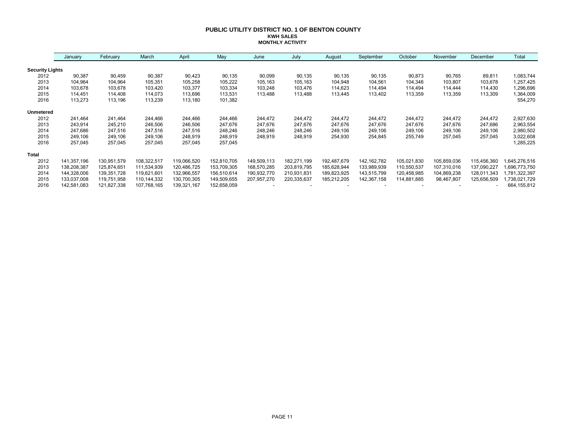#### **PUBLIC UTILITY DISTRICT NO. 1 OF BENTON COUNTY KWH SALES MONTHLY ACTIVITY**

|                        | January     | February    | March       | April       | May         | June        | July        | August      | September     | October     | November    | December    | Total         |
|------------------------|-------------|-------------|-------------|-------------|-------------|-------------|-------------|-------------|---------------|-------------|-------------|-------------|---------------|
| <b>Security Lights</b> |             |             |             |             |             |             |             |             |               |             |             |             |               |
| 2012                   | 90,387      | 90,459      | 90,387      | 90,423      | 90,135      | 90,099      | 90,135      | 90,135      | 90,135        | 90,873      | 90,765      | 89,811      | 1,083,744     |
| 2013                   | 104,964     | 104,964     | 105,351     | 105,258     | 105,222     | 105,163     | 105,163     | 104,948     | 104,561       | 104,346     | 103,807     | 103,678     | 1,257,425     |
| 2014                   | 103,678     | 103,678     | 103,420     | 103,377     | 103,334     | 103,248     | 103,476     | 114,623     | 114,494       | 114,494     | 114,444     | 114,430     | 1,296,696     |
| 2015                   | 114,451     | 114,408     | 114,073     | 113,696     | 113,531     | 113,488     | 113,488     | 113,445     | 113,402       | 113,359     | 113,359     | 113,309     | 1,364,009     |
| 2016                   | 113,273     | 113,196     | 113,239     | 113,180     | 101,382     |             |             |             |               |             |             |             | 554,270       |
| <b>Unmetered</b>       |             |             |             |             |             |             |             |             |               |             |             |             |               |
| 2012                   | 241,464     | 241,464     | 244,466     | 244,466     | 244.466     | 244,472     | 244,472     | 244,472     | 244,472       | 244,472     | 244,472     | 244,472     | 2,927,630     |
| 2013                   | 243,914     | 245,210     | 246,506     | 246,506     | 247,676     | 247,676     | 247,676     | 247,676     | 247,676       | 247,676     | 247,676     | 247,686     | 2,963,554     |
| 2014                   | 247,686     | 247,516     | 247,516     | 247,516     | 248,246     | 248,246     | 248,246     | 249,106     | 249,106       | 249,106     | 249,106     | 249,106     | 2,980,502     |
| 2015                   | 249,106     | 249,106     | 249,106     | 248,919     | 248,919     | 248,919     | 248,919     | 254,930     | 254,845       | 255,749     | 257,045     | 257,045     | 3,022,608     |
| 2016                   | 257,045     | 257,045     | 257,045     | 257,045     | 257,045     |             |             |             |               |             |             |             | 1,285,225     |
| <b>Total</b>           |             |             |             |             |             |             |             |             |               |             |             |             |               |
| 2012                   | 141,357,196 | 130,951,579 | 108,322,517 | 119,066,520 | 152,810,705 | 149,509,113 | 182,271,199 | 192,487,679 | 142, 162, 782 | 105,021,830 | 105,859,036 | 115,456,360 | ,645,276,516  |
| 2013                   | 138,208,387 | 125,874,651 | 111,534,939 | 120,486,725 | 153,709,305 | 168,570,285 | 203,819,795 | 185,628,944 | 133,989,939   | 110,550,537 | 107,310,016 | 137,090,227 | 696,773,750   |
| 2014                   | 144,328,006 | 139,351,728 | 119,621,601 | 132,966,557 | 156,510,614 | 190,932,770 | 210,931,831 | 189,823,925 | 143,515,799   | 120,458,985 | 104,869,238 | 128,011,343 | ,781,322,397  |
| 2015                   | 133,037,008 | 119,751,958 | 110,144,332 | 130,700,305 | 149,509,655 | 207,957,270 | 220,335,637 | 185,212,205 | 142,367,158   | 114,881,885 | 98,467,807  | 125,656,509 | ,738,021,729  |
| 2016                   | 142,581,083 | 121,827,338 | 107,768,165 | 139,321,167 | 152,658,059 |             |             |             |               |             |             | ٠           | 664, 155, 812 |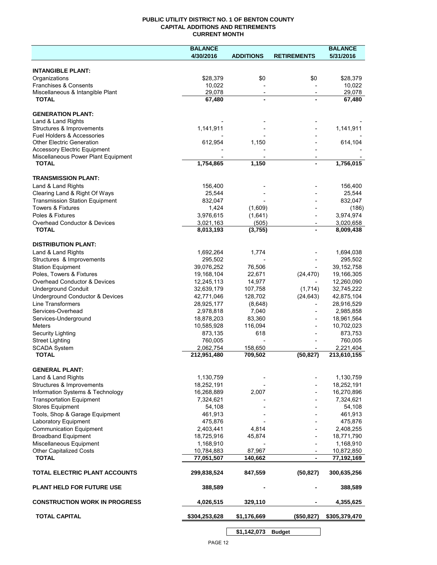## **PUBLIC UTILITY DISTRICT NO. 1 OF BENTON COUNTY CAPITAL ADDITIONS AND RETIREMENTS CURRENT MONTH**

|                                                 | <b>BALANCE</b> |                          |                          | <b>BALANCE</b> |
|-------------------------------------------------|----------------|--------------------------|--------------------------|----------------|
|                                                 | 4/30/2016      | <b>ADDITIONS</b>         | <b>RETIREMENTS</b>       | 5/31/2016      |
| <b>INTANGIBLE PLANT:</b>                        |                |                          |                          |                |
| Organizations                                   | \$28,379       | \$0                      | \$0                      | \$28,379       |
| <b>Franchises &amp; Consents</b>                | 10,022         |                          |                          | 10,022         |
| Miscellaneous & Intangible Plant                | 29,078         | $\overline{\phantom{a}}$ | $\overline{\phantom{a}}$ | 29,078         |
| <b>TOTAL</b>                                    | 67,480         |                          |                          | 67,480         |
|                                                 |                |                          |                          |                |
| <b>GENERATION PLANT:</b>                        |                |                          |                          |                |
| Land & Land Rights<br>Structures & Improvements | 1,141,911      |                          |                          | 1,141,911      |
| Fuel Holders & Accessories                      |                |                          |                          |                |
| <b>Other Electric Generation</b>                | 612,954        | 1,150                    |                          | 614,104        |
| <b>Accessory Electric Equipment</b>             |                |                          |                          |                |
| Miscellaneous Power Plant Equipment             |                |                          |                          |                |
| <b>TOTAL</b>                                    | 1,754,865      | 1,150                    |                          | 1,756,015      |
| <b>TRANSMISSION PLANT:</b>                      |                |                          |                          |                |
| Land & Land Rights                              | 156,400        |                          |                          | 156,400        |
| Clearing Land & Right Of Ways                   | 25,544         |                          |                          | 25,544         |
| <b>Transmission Station Equipment</b>           | 832,047        |                          |                          | 832,047        |
| <b>Towers &amp; Fixtures</b>                    | 1,424          | (1,609)                  |                          | (186)          |
| Poles & Fixtures                                | 3,976,615      | (1,641)                  |                          | 3,974,974      |
| Overhead Conductor & Devices                    | 3,021,163      | (505)                    |                          | 3,020,658      |
| <b>TOTAL</b>                                    | 8,013,193      | (3,755)                  |                          | 8,009,438      |
| <b>DISTRIBUTION PLANT:</b>                      |                |                          |                          |                |
| Land & Land Rights                              | 1,692,264      | 1,774                    |                          | 1,694,038      |
| Structures & Improvements                       | 295,502        |                          |                          | 295,502        |
| <b>Station Equipment</b>                        | 39,076,252     | 76,506                   |                          | 39, 152, 758   |
| Poles, Towers & Fixtures                        | 19,168,104     | 22,671                   | (24, 470)                | 19,166,305     |
| Overhead Conductor & Devices                    | 12,245,113     | 14,977                   |                          | 12,260,090     |
| <b>Underground Conduit</b>                      | 32,639,179     | 107,758                  | (1,714)                  | 32,745,222     |
| Underground Conductor & Devices                 | 42,771,046     | 128,702                  | (24, 643)                | 42,875,104     |
| <b>Line Transformers</b>                        | 28,925,177     | (8,648)                  |                          | 28,916,529     |
| Services-Overhead                               | 2,978,818      | 7,040                    |                          | 2,985,858      |
| Services-Underground                            | 18,878,203     | 83,360                   |                          | 18,961,564     |
| <b>Meters</b>                                   | 10,585,928     | 116,094                  |                          | 10,702,023     |
| Security Lighting                               | 873,135        | 618                      |                          | 873,753        |
| <b>Street Lighting</b>                          | 760,005        |                          |                          | 760,005        |
| <b>SCADA System</b>                             | 2,062,754      | 158,650                  |                          | 2,221,404      |
| <b>TOTAL</b>                                    | 212,951,480    | 709,502                  | (50, 827)                | 213,610,155    |
| <b>GENERAL PLANT:</b>                           |                |                          |                          |                |
| Land & Land Rights                              | 1,130,759      |                          |                          | 1,130,759      |
| Structures & Improvements                       | 18,252,191     |                          |                          | 18,252,191     |
| Information Systems & Technology                | 16,268,889     | 2,007                    |                          | 16,270,896     |
| <b>Transportation Equipment</b>                 | 7,324,621      |                          |                          | 7,324,621      |
| <b>Stores Equipment</b>                         | 54,108         |                          |                          | 54,108         |
| Tools, Shop & Garage Equipment                  | 461,913        |                          |                          | 461,913        |
| Laboratory Equipment                            | 475,876        |                          |                          | 475,876        |
| <b>Communication Equipment</b>                  | 2,403,441      | 4,814                    |                          | 2,408,255      |
| <b>Broadband Equipment</b>                      | 18,725,916     | 45,874                   |                          | 18,771,790     |
| Miscellaneous Equipment                         | 1,168,910      |                          |                          | 1,168,910      |
| <b>Other Capitalized Costs</b>                  | 10,784,883     | 87,967                   |                          | 10,872,850     |
| <b>TOTAL</b>                                    | 77,051,507     | 140,662                  | $\blacksquare$           | 77,192,169     |
| TOTAL ELECTRIC PLANT ACCOUNTS                   | 299,838,524    | 847,559                  | (50, 827)                | 300,635,256    |
| <b>PLANT HELD FOR FUTURE USE</b>                | 388,589        |                          |                          | 388,589        |
| <b>CONSTRUCTION WORK IN PROGRESS</b>            | 4,026,515      | 329,110                  |                          | 4,355,625      |
| <b>TOTAL CAPITAL</b>                            | \$304,253,628  | \$1,176,669              | (\$50,827)               | \$305,379,470  |
|                                                 |                | \$1,142,073              | <b>Budget</b>            |                |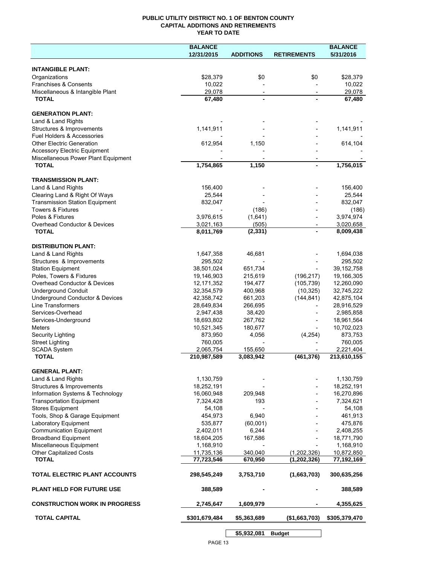## **PUBLIC UTILITY DISTRICT NO. 1 OF BENTON COUNTY CAPITAL ADDITIONS AND RETIREMENTS YEAR TO DATE**

|                                                         | <b>BALANCE</b> |                  |                    | <b>BALANCE</b> |
|---------------------------------------------------------|----------------|------------------|--------------------|----------------|
|                                                         | 12/31/2015     | <b>ADDITIONS</b> | <b>RETIREMENTS</b> | 5/31/2016      |
|                                                         |                |                  |                    |                |
| <b>INTANGIBLE PLANT:</b>                                |                |                  |                    |                |
| Organizations                                           | \$28,379       | \$0              | \$0                | \$28,379       |
| Franchises & Consents                                   | 10,022         |                  |                    | 10,022         |
| Miscellaneous & Intangible Plant                        | 29,078         |                  |                    | 29,078         |
| <b>TOTAL</b>                                            | 67,480         |                  |                    | 67,480         |
|                                                         |                |                  |                    |                |
| <b>GENERATION PLANT:</b>                                |                |                  |                    |                |
| Land & Land Rights                                      |                |                  |                    | 1,141,911      |
| Structures & Improvements<br>Fuel Holders & Accessories | 1,141,911      |                  |                    |                |
| <b>Other Electric Generation</b>                        | 612,954        | 1,150            |                    | 614,104        |
| <b>Accessory Electric Equipment</b>                     |                |                  |                    |                |
| Miscellaneous Power Plant Equipment                     |                |                  |                    |                |
| <b>TOTAL</b>                                            | 1,754,865      | 1,150            | $\blacksquare$     | 1,756,015      |
|                                                         |                |                  |                    |                |
| <b>TRANSMISSION PLANT:</b>                              |                |                  |                    |                |
| Land & Land Rights                                      | 156,400        |                  |                    | 156,400        |
| Clearing Land & Right Of Ways                           | 25,544         |                  |                    | 25,544         |
| <b>Transmission Station Equipment</b>                   | 832,047        |                  |                    | 832,047        |
| Towers & Fixtures                                       |                | (186)            |                    | (186)          |
| Poles & Fixtures                                        | 3,976,615      | (1,641)          |                    | 3,974,974      |
| Overhead Conductor & Devices                            | 3,021,163      | (505)            |                    | 3,020,658      |
| <b>TOTAL</b>                                            | 8,011,769      | (2, 331)         |                    | 8,009,438      |
|                                                         |                |                  |                    |                |
| <b>DISTRIBUTION PLANT:</b>                              |                |                  |                    |                |
| Land & Land Rights                                      | 1,647,358      | 46,681           |                    | 1,694,038      |
| Structures & Improvements                               | 295,502        |                  |                    | 295,502        |
| <b>Station Equipment</b>                                | 38,501,024     | 651,734          |                    | 39, 152, 758   |
| Poles, Towers & Fixtures                                | 19,146,903     | 215,619          | (196, 217)         | 19,166,305     |
| Overhead Conductor & Devices                            | 12,171,352     | 194,477          | (105, 739)         | 12,260,090     |
| <b>Underground Conduit</b>                              | 32,354,579     | 400,968          | (10, 325)          | 32,745,222     |
| Underground Conductor & Devices                         | 42,358,742     | 661,203          | (144, 841)         | 42,875,104     |
| Line Transformers                                       | 28,649,834     | 266,695          |                    | 28,916,529     |
| Services-Overhead                                       | 2,947,438      | 38,420           |                    | 2,985,858      |
| Services-Underground                                    | 18,693,802     | 267,762          |                    | 18,961,564     |
| <b>Meters</b>                                           | 10,521,345     | 180,677          |                    | 10,702,023     |
| <b>Security Lighting</b>                                | 873,950        | 4,056            | (4,254)            | 873,753        |
| <b>Street Lighting</b>                                  | 760,005        |                  |                    | 760,005        |
| <b>SCADA System</b>                                     | 2,065,754      | 155,650          |                    | 2,221,404      |
| <b>TOTAL</b>                                            | 210,987,589    | 3,083,942        | (461, 376)         | 213,610,155    |
|                                                         |                |                  |                    |                |
| <b>GENERAL PLANT:</b>                                   |                |                  |                    |                |
| Land & Land Rights                                      | 1,130,759      |                  |                    | 1,130,759      |
| Structures & Improvements                               | 18,252,191     |                  |                    | 18,252,191     |
| Information Systems & Technology                        | 16,060,948     | 209,948          |                    | 16,270,896     |
| <b>Transportation Equipment</b>                         | 7,324,428      | 193              |                    | 7,324,621      |
| <b>Stores Equipment</b>                                 | 54,108         |                  |                    | 54,108         |
| Tools, Shop & Garage Equipment                          | 454,973        | 6,940            |                    | 461,913        |
| Laboratory Equipment                                    | 535,877        | (60,001)         |                    | 475,876        |
| <b>Communication Equipment</b>                          | 2,402,011      | 6,244            |                    | 2,408,255      |
| <b>Broadband Equipment</b>                              | 18,604,205     | 167,586          |                    | 18,771,790     |
| Miscellaneous Equipment                                 | 1,168,910      |                  |                    | 1,168,910      |
| <b>Other Capitalized Costs</b>                          | 11,735,136     | 340.040          | (1,202,326)        | 10,872,850     |
| <b>TOTAL</b>                                            | 77,723,546     | 670,950          | (1, 202, 326)      | 77,192,169     |
| TOTAL ELECTRIC PLANT ACCOUNTS                           | 298,545,249    | 3,753,710        | (1,663,703)        | 300,635,256    |
| <b>PLANT HELD FOR FUTURE USE</b>                        | 388,589        |                  |                    | 388,589        |
| <b>CONSTRUCTION WORK IN PROGRESS</b>                    | 2,745,647      | 1,609,979        |                    | 4,355,625      |
| <b>TOTAL CAPITAL</b>                                    | \$301,679,484  | \$5,363,689      | (\$1,663,703)      | \$305,379,470  |
|                                                         |                | \$5,932,081      | <b>Budget</b>      |                |
|                                                         |                |                  |                    |                |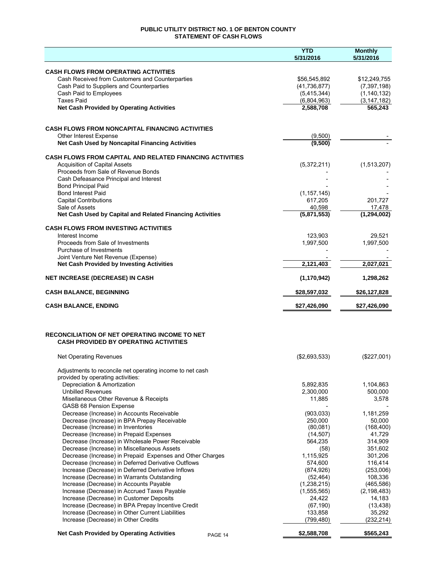## **PUBLIC UTILITY DISTRICT NO. 1 OF BENTON COUNTY STATEMENT OF CASH FLOWS**

|                                                                                                          | <b>YTD</b><br>5/31/2016 | <b>Monthly</b><br>5/31/2016 |
|----------------------------------------------------------------------------------------------------------|-------------------------|-----------------------------|
| <b>CASH FLOWS FROM OPERATING ACTIVITIES</b>                                                              |                         |                             |
| Cash Received from Customers and Counterparties                                                          | \$56,545,892            | \$12,249,755                |
| Cash Paid to Suppliers and Counterparties                                                                | (41, 736, 877)          | (7, 397, 198)               |
| Cash Paid to Employees                                                                                   | (5,415,344)             | (1, 140, 132)               |
| <b>Taxes Paid</b>                                                                                        | (6,804,963)             | (3, 147, 182)               |
| <b>Net Cash Provided by Operating Activities</b>                                                         | 2,588,708               | 565,243                     |
|                                                                                                          |                         |                             |
| <b>CASH FLOWS FROM NONCAPITAL FINANCING ACTIVITIES</b>                                                   |                         |                             |
| Other Interest Expense                                                                                   | (9,500)                 |                             |
| Net Cash Used by Noncapital Financing Activities                                                         | (9,500)                 |                             |
| <b>CASH FLOWS FROM CAPITAL AND RELATED FINANCING ACTIVITIES</b>                                          |                         |                             |
| <b>Acquisition of Capital Assets</b>                                                                     | (5,372,211)             | (1,513,207)                 |
| Proceeds from Sale of Revenue Bonds                                                                      |                         |                             |
| Cash Defeasance Principal and Interest                                                                   |                         |                             |
| <b>Bond Principal Paid</b>                                                                               |                         |                             |
| <b>Bond Interest Paid</b>                                                                                | (1, 157, 145)           |                             |
| <b>Capital Contributions</b><br>Sale of Assets                                                           | 617,205                 | 201,727                     |
| Net Cash Used by Capital and Related Financing Activities                                                | 40,598<br>(5,871,553)   | 17,478<br>(1, 294, 002)     |
|                                                                                                          |                         |                             |
| <b>CASH FLOWS FROM INVESTING ACTIVITIES</b>                                                              |                         |                             |
| Interest Income<br>Proceeds from Sale of Investments                                                     | 123,903                 | 29,521                      |
| Purchase of Investments                                                                                  | 1,997,500               | 1,997,500                   |
| Joint Venture Net Revenue (Expense)                                                                      |                         |                             |
| <b>Net Cash Provided by Investing Activities</b>                                                         | 2,121,403               | 2,027,021                   |
| <b>NET INCREASE (DECREASE) IN CASH</b>                                                                   | (1, 170, 942)           | 1,298,262                   |
| <b>CASH BALANCE, BEGINNING</b>                                                                           | \$28,597,032            | \$26,127,828                |
|                                                                                                          |                         |                             |
| <b>CASH BALANCE, ENDING</b>                                                                              | \$27,426,090            | \$27,426,090                |
|                                                                                                          |                         |                             |
| <b>RECONCILIATION OF NET OPERATING INCOME TO NET</b><br><b>CASH PROVIDED BY OPERATING ACTIVITIES</b>     |                         |                             |
| Net Operating Revenues                                                                                   | (\$2,693,533)           | (\$227,001)                 |
|                                                                                                          |                         |                             |
| Adjustments to reconcile net operating income to net cash<br>provided by operating activities:           |                         |                             |
| Depreciation & Amortization                                                                              | 5,892,835               | 1,104,863                   |
| <b>Unbilled Revenues</b>                                                                                 | 2,300,000               | 500,000                     |
| Misellaneous Other Revenue & Receipts                                                                    | 11,885                  | 3,578                       |
| GASB 68 Pension Expense                                                                                  |                         |                             |
| Decrease (Increase) in Accounts Receivable                                                               | (903, 033)              | 1,181,259                   |
| Decrease (Increase) in BPA Prepay Receivable                                                             | 250,000                 | 50,000                      |
| Decrease (Increase) in Inventories                                                                       | (80,081)                | (168, 400)                  |
| Decrease (Increase) in Prepaid Expenses                                                                  | (14, 507)               | 41,729                      |
| Decrease (Increase) in Wholesale Power Receivable                                                        | 564,235                 | 314,909                     |
| Decrease (Increase) in Miscellaneous Assets<br>Decrease (Increase) in Prepaid Expenses and Other Charges | (58)<br>1,115,925       | 351,602<br>301,206          |
| Decrease (Increase) in Deferred Derivative Outflows                                                      | 574,600                 | 116,414                     |
| Increase (Decrease) in Deferred Derivative Inflows                                                       | (874, 926)              | (253,006)                   |
| Increase (Decrease) in Warrants Outstanding                                                              | (52, 464)               | 108,336                     |
| Increase (Decrease) in Accounts Payable                                                                  | (1,238,215)             | (465, 586)                  |
| Increase (Decrease) in Accrued Taxes Payable                                                             | (1,555,565)             | (2, 198, 483)               |
| Increase (Decrease) in Customer Deposits                                                                 | 24,422                  | 14,183                      |
| Increase (Decrease) in BPA Prepay Incentive Credit                                                       | (67, 190)               | (13, 438)                   |
| Increase (Decrease) in Other Current Liabilities                                                         | 133,858                 | 35,292                      |
| Increase (Decrease) in Other Credits                                                                     | (799, 480)              | (232, 214)                  |
| <b>Net Cash Provided by Operating Activities</b><br>PAGE 14                                              | \$2,588,708             | \$565,243                   |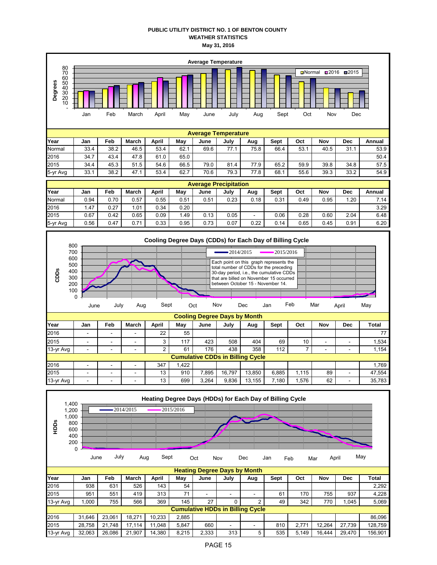## **PUBLIC UTILITY DISTRICT NO. 1 OF BENTON COUNTY WEATHER STATISTICS May 31, 2016**





| Year      | Jan    | Feb                      | March                    | April           | May  | June  | July                                    | Aug    | <b>Sept</b> | Oct   | Nov | Dec | Total  |  |
|-----------|--------|--------------------------|--------------------------|-----------------|------|-------|-----------------------------------------|--------|-------------|-------|-----|-----|--------|--|
| 2016      | -      | $\overline{\phantom{0}}$ | -                        | 22              | 55   |       |                                         |        |             |       |     |     | 77     |  |
| 2015      | -      | -                        | $\overline{\phantom{0}}$ |                 | 117  | 423   | 508                                     | 404    | 69          | 10    |     |     | 1,534  |  |
| 13-yr Avg |        | -                        | $\overline{\phantom{0}}$ |                 | 61   | 176   | 438                                     | 358    | 112         |       |     |     | 1.154  |  |
|           |        |                          |                          |                 |      |       | <b>Cumulative CDDs in Billing Cycle</b> |        |             |       |     |     |        |  |
| 2016      |        | -                        | $\overline{\phantom{0}}$ | 347             | .422 |       |                                         |        |             |       |     |     | 1.769  |  |
| 2015      | $\sim$ | ٠                        | ٠                        | 13 <sub>1</sub> | 910  | 7.895 | 16.797                                  | 13.850 | 6.885       | 1.115 | 89  |     | 47,554 |  |
| 13-yr Avg | -      | $\sim$                   | $\overline{\phantom{0}}$ | 13 <sub>1</sub> | 699  | 3.264 | 9,836                                   | 13,155 | 7.180       | .576  | 62  | -   | 35,783 |  |

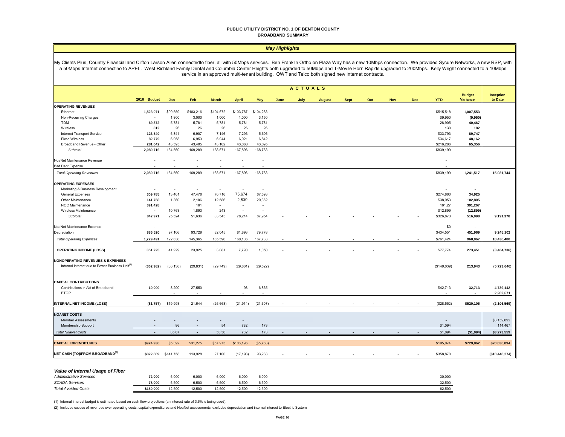#### **PUBLIC UTILITY DISTRICT NO. 1 OF BENTON COUNTY BROADBAND SUMMARY**

#### *May Highlights*

My Clients Plus, Country Financial and Clifton Larson Allen connectedto fiber, all with 50Mbps services. Ben Franklin Ortho on Plaza Way has a new 10Mbps connection. We provided Sycure Networks, a new RSP, with a 50Mbps Internet connectino to APEL. West Richland Family Dental and Columbia Center Heights both upgraded to 50Mbps and T-Movile Horn Rapids upgraded to 200Mbps. Kelly Wright connected to a 10Mbps service in an approved multi-tenant building. OWT and Telco both signed new Internet contracts.

|                                                                                                            |                          |                     |                          |                          |                          |                          |      | <b>ACTUALS</b> |               |             |     |            |     |             |                                  |                      |
|------------------------------------------------------------------------------------------------------------|--------------------------|---------------------|--------------------------|--------------------------|--------------------------|--------------------------|------|----------------|---------------|-------------|-----|------------|-----|-------------|----------------------------------|----------------------|
|                                                                                                            | 2016 Budget              | Jan                 | Feb                      | <b>March</b>             | <b>April</b>             | <b>May</b>               | June | July           | <b>August</b> | <b>Sept</b> | Oct | <b>Nov</b> | Dec | <b>YTD</b>  | <b>Budget</b><br><b>Variance</b> | Inception<br>to Date |
| <b>OPERATING REVENUES</b>                                                                                  |                          |                     |                          |                          |                          |                          |      |                |               |             |     |            |     |             |                                  |                      |
| Ethernet                                                                                                   | 1,523,071                | \$99,559            | \$103,216                | \$104,672                | \$103,787                | \$104,283                |      |                |               |             |     |            |     | \$515,518   | 1,007,553                        |                      |
| Non-Recurring Charges                                                                                      | $\blacksquare$           | 1,800               | 3,000                    | 1,000                    | 1,000                    | 3,150                    |      |                |               |             |     |            |     | \$9,950     | (9,950)                          |                      |
| <b>TDM</b>                                                                                                 | 69,372                   | 5,781               | 5,781                    | 5,781                    | 5,781                    | 5,781                    |      |                |               |             |     |            |     | 28,905      | 40,467                           |                      |
| Wireless                                                                                                   | 312                      | 26                  | 26                       | 26                       | 26                       | 26                       |      |                |               |             |     |            |     | 130         | 182                              |                      |
| Internet Transport Service                                                                                 | 123,540                  | 6,841               | 6,907                    | 7,146                    | 7,293                    | 5,606                    |      |                |               |             |     |            |     | \$33,793    | 89,747                           |                      |
| <b>Fixed Wireless</b>                                                                                      | 82,779                   | 6,958               | 6,953                    | 6,944                    | 6,921                    | 6,842                    |      |                |               |             |     |            |     | \$34,617    | 48,162                           |                      |
| Broadband Revenue - Other                                                                                  | 281,642                  | 43,595              | 43,405                   | 43,102                   | 43,088                   | 43,095                   |      |                |               |             |     |            |     | \$216,286   | 65,356                           |                      |
| Subtotal                                                                                                   | 2,080,716                | 164,560             | 169,289                  | 168,671                  | 167,896                  | 168,783                  |      |                |               |             |     |            |     | \$839,199   |                                  |                      |
| NoaNet Maintenance Revenue                                                                                 |                          | $\overline{a}$      | ÷                        | ÷.                       | ٠                        |                          |      |                |               |             |     |            |     |             |                                  |                      |
| <b>Bad Debt Expense</b>                                                                                    |                          |                     |                          |                          |                          |                          |      |                |               |             |     |            |     |             |                                  |                      |
| <b>Total Operating Revenues</b>                                                                            | 2,080,716                | 164,560             | 169,289                  | 168,671                  | 167,896                  | 168,783                  |      |                |               |             |     |            |     | \$839,199   | 1,241,517                        | 15,031,744           |
| <b>OPERATING EXPENSES</b>                                                                                  |                          |                     |                          |                          |                          |                          |      |                |               |             |     |            |     |             |                                  |                      |
| Marketing & Business Development                                                                           |                          | $\sim$              | $\sim$                   | $\overline{\phantom{a}}$ |                          | $\sim$                   |      |                |               |             |     |            |     |             | $\overline{\phantom{a}}$         |                      |
| General Expenses                                                                                           | 309,785                  | 13,401              | 47,476                   | 70,716                   | 75,674                   | 67,593                   |      |                |               |             |     |            |     | \$274,860   | 34,925                           |                      |
| Other Maintenance                                                                                          | 141,758                  | 1,360               | 2,106                    | 12,586                   | 2,539                    | 20,362                   |      |                |               |             |     |            |     | \$38,953    | 102,805                          |                      |
| NOC Maintenance                                                                                            | 391,428                  |                     | 161                      | $\overline{\phantom{a}}$ | $\sim$                   | $\sim$                   |      |                |               |             |     |            |     | 161.27      | 391,267                          |                      |
| Wireless Maintenance                                                                                       |                          | 10,763              | 1,893                    | 243                      | $\overline{\phantom{a}}$ | $\overline{\phantom{a}}$ |      |                |               |             |     |            |     | \$12,899    | (12, 899)                        |                      |
| Subtotal                                                                                                   | 842,971                  | 25,524              | 51,636                   | 83,545                   | 78,214                   | 87,954                   |      |                |               |             |     |            |     | \$326,873   | 516,098                          | 9,191,378            |
| NoaNet Maintenance Expense                                                                                 |                          | $\sim$              | $\overline{\phantom{a}}$ | $\sim$                   | $\sim$                   | $\sim$                   |      |                |               |             |     |            |     | \$0         | $\blacksquare$                   |                      |
| Depreciation                                                                                               | 886,520                  | 97,106              | 93,729                   | 82,045                   | 81,893                   | 79,778                   |      |                |               |             |     |            |     | \$434,551   | 451,969                          | 9,245,102            |
| <b>Total Operating Expenses</b>                                                                            | 1,729,491                | 122,630             | 145,365                  | 165,590                  | 160,106                  | 167,733                  |      |                |               |             |     |            |     | \$761,424   | 968,067                          | 18,436,480           |
| <b>OPERATING INCOME (LOSS)</b>                                                                             | 351,225                  | 41,929              | 23,925                   | 3,081                    | 7,790                    | 1,050                    |      |                |               |             |     |            |     | \$77,774    | 273,451                          | (3,404,736)          |
| <b>NONOPERATING REVENUES &amp; EXPENSES</b><br>Internal Interest due to Power Business Unit <sup>(1)</sup> | (362, 982)               | (30, 136)           | (29, 831)                | (29, 749)                | (29, 801)                | (29, 522)                |      |                |               |             |     |            |     | (\$149,039) | 213,943                          | (5,723,646)          |
| <b>CAPITAL CONTRIBUTIONS</b>                                                                               |                          |                     |                          |                          |                          |                          |      |                |               |             |     |            |     |             |                                  |                      |
| Contributions in Aid of Broadband                                                                          | 10,000                   | 8,200               | 27,550                   |                          | 98                       | 6,865                    |      |                |               |             |     |            |     | \$42,713    | 32,713                           | 4,739,142            |
| <b>BTOP</b>                                                                                                |                          |                     |                          |                          |                          |                          |      |                |               |             |     |            |     |             | $\overline{\phantom{a}}$         | 2,282,671            |
| <b>INTERNAL NET INCOME (LOSS)</b>                                                                          | (\$1,757)                | \$19,993            | 21,644                   | (26, 668)                | (21, 914)                | (21, 607)                |      |                |               |             |     |            |     | (\$28,552)  | \$520,106                        | (2, 106, 569)        |
| <b>NOANET COSTS</b>                                                                                        |                          |                     |                          |                          |                          |                          |      |                |               |             |     |            |     |             |                                  |                      |
| <b>Member Assessments</b>                                                                                  |                          |                     |                          |                          |                          |                          |      |                |               |             |     |            |     |             |                                  | \$3,159,092          |
| Membership Support                                                                                         | $\overline{\phantom{a}}$ | 86                  | $\overline{\phantom{a}}$ | 54                       | 782                      | 173                      |      |                |               |             |     |            |     | \$1,094     |                                  | 114,467              |
| <b>Total NoaNet Costs</b>                                                                                  |                          | 85.67               | $\sim$                   | 53.50                    | 782                      | 173                      |      |                |               |             |     |            |     | \$1,094     |                                  |                      |
|                                                                                                            |                          |                     |                          |                          |                          |                          |      |                |               |             |     |            |     |             | (\$1,094)                        | \$3,273,559          |
| <b>CAPITAL EXPENDITURES</b>                                                                                | \$924,936                | \$5,392             | \$31,275                 | \$57,973                 | \$106,196                | (\$5,763)                |      |                |               |             |     |            |     | \$195,074   | \$729,862                        | \$20,036,894         |
| NET CASH (TO)/FROM BROADBAND <sup>(2)</sup>                                                                |                          | \$322,809 \$141,758 | 113,928                  | 27,100                   | (17, 198)                | 93,283                   |      |                |               |             |     |            |     | \$358,870   |                                  | (\$10,448,274)       |

#### *Value of Internal Usage of Fiber*

| <b>Administrative Services</b> | 72,000    | 6,000  | 6,00  | 000.ز  | 6,000  | 6,000  |  |  |  | 30,000 |
|--------------------------------|-----------|--------|-------|--------|--------|--------|--|--|--|--------|
| <b>SCADA Services</b>          | 78.000    | 6.500  | 6.50  | 500    | 6.50C  | 6.500  |  |  |  | 32.500 |
| <b>Total Avoided Costs</b>     | \$150,000 | 12,500 | 12.50 | 12.500 | 12.500 | 12,500 |  |  |  | 62,500 |

(1) Internal interest budget is estimated based on cash flow projections (an interest rate of 3.6% is being used).

(2) Includes excess of revenues over operating costs, capital expenditures and NoaNet assessments; excludes depreciation and internal interest to Electric System